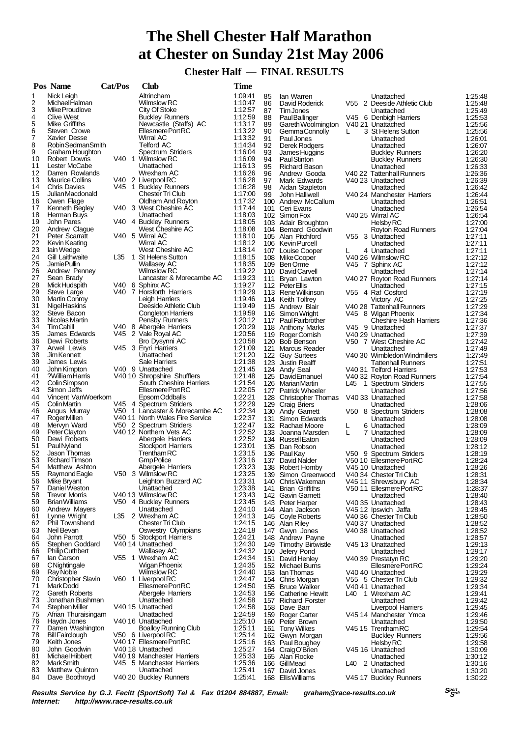# **The Shell Chester Half Marathon at Chester on Sunday 21st May 2006**

 **Chester Half — FINAL RESULTS**

|          | Pos Name                                      | Cat/Pos | <b>Club</b>                                                | <b>Time</b>        |            |                                       |        |                                             |                    |
|----------|-----------------------------------------------|---------|------------------------------------------------------------|--------------------|------------|---------------------------------------|--------|---------------------------------------------|--------------------|
| 1        | Nick Leigh                                    |         | Altrincham                                                 | 1:09:41            | 85         | lan Warren                            |        | Unattached                                  | 1:25:48            |
| 2        | MichaelHalman                                 |         | <b>Wilmslow RC</b>                                         | 1:10:47            | 86         | David Roderick                        |        | V55 2 Deeside Athletic Club                 | 1:25:48            |
| 3        | Mike Proudlove                                |         | City Of Stoke                                              | 1:12:57            | 87         | Tim Jones                             |        | Unattached                                  | 1.25.49            |
| 4        | <b>Clive West</b>                             |         | <b>Buckley Runners</b>                                     | 1:12:59            | 88         | <b>PaulBallinger</b>                  |        | V45 6 Denbigh Harriers                      | 1:25:53            |
| 5<br>6   | Mike Griffiths<br>Steven Crowe                |         | Newcastle (Staffs) AC<br>Ellesmere Port RC                 | 1:13:17<br>1:13:22 | 89         | Gareth Woolmington                    |        | V40 21 Unattached                           | 1:25.56            |
| 7        | Xavier Desse                                  |         | Wirral AC                                                  | 1:13:32            | 90<br>91   | Gemma Connolly<br>Paul Jones          | L.     | 3 St Helens Sutton<br>Unattached            | 1:25:56<br>1:26:01 |
| 8        | Robin Sedman Smith                            |         | <b>Telford AC</b>                                          | 1:14:34            | 92         | Derek Rodgers                         |        | Unattached                                  | 1:26.07            |
| 9        | Graham Houghton                               |         | Spectrum Striders                                          | 1:16:04            | 93         | James Huggins                         |        | <b>Buckley Runners</b>                      | 1:26:20            |
| 10       | Robert Downs                                  |         | V40 1 Wilmslow RC                                          | 1:16:09            | 94         | <b>PaulStinton</b>                    |        | <b>Buckley Runners</b>                      | 1:26:30            |
| 11       | Lester McCabe                                 |         | Unattached                                                 | 1:16:13            | 95         | Richard Bason                         |        | Unattached                                  | 1:26:33            |
| 12       | Darren Rowlands                               |         | Wrexham AC                                                 | 1:16:26            | 96         | Andrew Gooda                          |        | V40 22 Tattenhall Runners                   | 1:26:36            |
| 13<br>14 | <b>Maurice Collins</b>                        |         | V40 2 Liverpool RC<br>V45 1 Buckley Runners                | 1:16:28            | 97         | Mark Edwards                          |        | V40 23 Unattached                           | 1:26:39            |
| 15       | <b>Chris Davies</b><br>Julian Macdonald       |         | <b>Chester Tri Club</b>                                    | 1:16:28<br>1:17:00 | 98<br>99   | Aidan Stapleton                       |        | Unattached<br>V40 24 Manchester Harriers    | 1:26.42<br>1.26.44 |
| 16       | Owen Flage                                    |         | Oldham And Royton                                          | 1:17:32            |            | John Halliwell<br>100 Andrew McCallum |        | Unattached                                  | 1:26:51            |
| 17       | Kenneth Begley                                |         | V40 3 West Cheshire AC                                     | 1:17:44            |            | 101 Ceri Evans                        |        | Unattached                                  | 1:26:54            |
| 18       | Herman Buys                                   |         | Unattached                                                 | 1:18:03            |            | 102 Simon Fox                         |        | V40 25 Wirral AC                            | 1:26.54            |
| 19       | John Pares                                    |         | V40 4 Buckley Runners                                      | 1:18:05            |            | 103 Adair Broughton                   |        | Helsby RC                                   | 1:27:00            |
| 20       | Andrew Clague                                 |         | West Cheshire AC                                           | 1:18:08            |            | 104 Bernard Goodwin                   |        | <b>Royton Road Runners</b>                  | 1:27:04            |
| 21       | Peter Scarratt                                |         | V40 5 Wirral AC                                            | 1:18:10            |            | 105 Alan Pitchford                    |        | V55 3 Unattached                            | 1:27:11            |
| 22       | Kevin Keating                                 |         | Wirral AC                                                  | 1:18:12            |            | 106 Kevin Purcell                     |        | Unattached                                  | 1:27:11            |
| 23       | lain Wedge                                    |         | West Cheshire AC                                           | 1:18:14            |            | 107 Louise Cooper                     |        | 4 Unattached                                | 1:27:11            |
| 24<br>25 | <b>Gill Laithwaite</b><br>Jamie Pullin        |         | L35 1 St Helens Sutton<br><b>Wallasey AC</b>               | 1:18:15<br>1:18:35 |            | 108 MikeCooper                        |        | V40 26 Wilmslow RC                          | 1:27:12            |
| 26       | Andrew Penney                                 |         | <b>Wilmslow RC</b>                                         | 1:19:22            |            | 109 Ben Orme<br>110 David Carvell     |        | V45 7 Sphinx AC<br>Unattached               | 1:27:12<br>1:27:14 |
| 27       | Sean Brady                                    |         | Lancaster & Morecambe AC                                   | 1:19:23            |            | 111 Bryan Lawton                      |        | V40 27 Royton Road Runners                  | 1:27:14            |
| 28       | Mick Hudspith                                 |         | V40 6 Sphinx AC                                            | 1:19:27            |            | 112 PeterEllis                        |        | Unattached                                  | 1:27:15            |
| 29       | Steve Large                                   |         | V40 7 Horsforth Harriers                                   | 1:19:29            |            | 113 Rene Wilkinson                    |        | V55 4 Raf Cosford                           | 1:27:19            |
| 30       | <b>Martin Conroy</b>                          |         | Leigh Harriers                                             | 1:19:46            |            | 114 Keith Tolfrey                     |        | Victory AC                                  | 1:27:25            |
| 31       | Nigel Haskins                                 |         | Deeside Athletic Club                                      | 1:19:49            |            | 115 Andrew Blair                      |        | V40 28 Tattenhall Runners                   | 1:27:29            |
| 32       | Steve Bacon                                   |         | <b>Congleton Harriers</b>                                  | 1:19:59            |            | 116 Simon Wright                      |        | V45 8 Wigan Phoenix                         | 1:27:34            |
| 33       | Nicolas Martin                                |         | Pensby Runners                                             | 1:20:12            |            | 117 Paul Fairbrother                  |        | <b>Cheshire Hash Harriers</b>               | 1:27:36            |
| 34       | TimCahill                                     |         | V40 8 Abergele Harriers                                    | 1:20:29            |            | 118 Anthony Marks                     |        | V45 9 Unattached                            | 1:27:37            |
| 35<br>36 | James Edwards<br>Dewi Roberts                 |         | V45 2 Vale Royal AC                                        | 1:20:56<br>1:20:58 |            | 119 Roger Comish                      |        | V40 29 Unattached                           | 1:27:39            |
| 37       | Arwel Lewis                                   |         | Bro Dysynni AC<br>V45 3 Eryri Harriers                     | 1:21:09            |            | 120 Bob Benson<br>121 Marcus Reader   |        | V50 7 West Cheshire AC<br>Unattached        | 1:27:42<br>1:27:49 |
| 38       | Jim Kennett                                   |         | Unattached                                                 | 1:21:20            |            | 122 Guy Surtees                       |        | V40 30 Wimbledon Windmillers                | 1:27:49            |
| 39       | James Lewis                                   |         | Sale Harriers                                              | 1:21:38            |            | 123 Justin Realff                     |        | <b>Tattenhall Runners</b>                   | 1:27:51            |
| 40       | John Kimpton                                  |         | V40 9 Unattached                                           | 1:21:45            |            | 124 Andy Seal                         |        | V40 31 Telford Harriers                     | 1:27:53            |
| 41       | ?William Harris                               |         | V40 10 Shropshire Shufflers                                | 1:21:48            |            | 125 David Emanuel                     |        | V40 32 Royton Road Runners                  | 1:27:54            |
| 42       | Colin Simpson                                 |         | South Cheshire Harriers                                    | 1:21:54            |            | 126 Marian Martin                     |        | L45 1 Spectrum Striders                     | 1:27:55            |
| 43       | Simon Jeffs                                   |         | Ellesmere Port RC                                          | 1:22:05            |            | 127 Patrick Wheeler                   |        | Unattached                                  | 1:27:56            |
| 44       | Vincent VanWoerkom                            |         | Epsom Oddballs                                             | 1:22:21            |            | 128 Christopher Thomas                |        | V40 33 Unattached                           | 1:27:58            |
| 45       | Colin Martin                                  |         | V45 4 Spectrum Striders                                    | 1:22:29            |            | 129 Craig Briers                      |        | Unattached                                  | 1:28:06            |
| 46       | Angus Murray                                  |         | V50 1 Lancaster & Morecambe AC                             | 1:22:34            |            | 130 Andy Garnett                      |        | V50 8 Spectrum Striders                     | 1:28:08            |
| 47<br>48 | <b>RogerMillen</b><br>Mervyn Ward             |         | V40 11 North Wales Fire Service<br>V50 2 Spectrum Striders | 1:22:37<br>1:22:47 | 131        | Simon Edwards<br>132 Rachael Moore    |        | Unattached<br>6 Unattached                  | 1:28:08<br>1:28:09 |
| 49       | Peter Clayton                                 |         | V40 12 Northern Vets AC                                    | 1:22:52            |            | 133 Joanna Marsden                    | L<br>L | 7 Unattached                                | 1:28:09            |
| 50       | Dewi Roberts                                  |         | Abergele Harriers                                          | 1:22:52            |            | 134 Russell Eaton                     |        | Unattached                                  | 1:28:09            |
| 51       | Paul Nyland                                   |         | <b>Stockport Harriers</b>                                  | 1:23:01            |            | 135 Dan Robson                        |        | Unattached                                  | 1:28:12            |
| 52       | Jason Thomas                                  |         | TrenthamRC                                                 | 1:23:15            |            | 136 Paul Kay                          |        | V50 9 Spectrum Striders                     | 1:28:19            |
| 53       | <b>Richard Timson</b>                         |         | <b>GmpPolice</b>                                           | 1:23:16            |            | 137 David Nalder                      |        | V50 10 Ellesmere Port RC                    | 1:28:24            |
| 54       | Matthew Ashton                                |         | Abergele Harriers                                          | 1:23:23            | 138        | Robert Hornby                         |        | V45 10 Unattached                           | 1:28:26            |
| 55       | Raymond Eagle                                 |         | V <sub>50</sub> 3 Wilmslow RC                              | 1:23:25            |            | 139 Simon Greenwood                   |        | V40 34 Chester Tri Club                     | 1:28:31            |
| 56       | Mike Bryant                                   |         | Leighton Buzzard AC                                        | 1:23:31            |            | 140 Chris Wakeman                     |        | V45 11 Shrewsbury AC                        | 1:28:34            |
| 57<br>58 | Daniel Weston                                 |         | Unattached<br>V40 13 Wilmslow RC                           | 1:23:38<br>1:23:43 | 141        | <b>Brian Griffiths</b>                |        | V50 11 Ellesmere Port RC                    | 1:28:37            |
| 59       | <b>Trevor Morris</b><br><b>Brian Williams</b> |         | V50 4 Buckley Runners                                      | 1:23:45            | 142        | Gavin Garnett<br>143 Peter Harper     |        | Unattached<br>V40 35 Unattached             | 1:28:40<br>1.28.43 |
| 60       | Andrew Mayers                                 |         | Unattached                                                 | 1:24:10            | 144        | Alan Jackson                          |        | V45 12 Ipswich Jaffa                        | 1:28:45            |
| 61       | Lynne Wright                                  | L35     | 2 Wrexham AC                                               | 1:24:13            |            | 145 Coyle Roberts                     |        | V40 36 Chester Tri Club                     | 1:28:50            |
| 62       | <b>Phil Townshend</b>                         |         | Chester Tri Club                                           | 1:24:15            | 146        | Alan Riley                            |        | V40 37 Unattached                           | 1:28:52            |
| 63       | Neil Bevan                                    |         | Oswestry Olympians                                         | 1:24:18            | 147        | Gwyn Jones                            |        | V40 38 Unattached                           | 1:28:52            |
| 64       | John Parrott                                  |         | V50 5 Stockport Harriers                                   | 1:24:21            |            | 148 Andrew Payne                      |        | Unattached                                  | 1:28:57            |
| 65       | Stephen Goddard                               |         | V40 14 Unattached                                          | 1:24:30            | 149        | <b>Timothy Birtwistle</b>             |        | V45 13 Unattached                           | 1:29:13            |
| 66       | <b>Philip Cuthbert</b>                        |         | <b>Wallasey AC</b>                                         | 1:24:32            | 150        | Jefery Pond                           |        | Unattached                                  | 1:29.17            |
| 67       | lan Carson                                    |         | V55 1 Wrexham AC                                           | 1:24:34<br>1:24:35 | 151        | David Henley                          |        | V40 39 Prestatyn RC                         | 1:29:20            |
| 68<br>69 | CNightingale<br>Ray Noble                     |         | Wigan Phoenix<br><b>Wilmslow RC</b>                        | 1:24:40            | 152        | Michael Burns<br>lan Thomas           |        | Ellesmere Port RC                           | 1:29:24<br>1:29.29 |
| 70       | <b>Christopher Slavin</b>                     |         | V60 1 Liverpool RC                                         | 1:24:47            | 153<br>154 | Chris Morgan                          |        | V40 40 Unattached<br>V55 5 Chester Tri Club | 1:29:32            |
| 71       | Mark Dodd                                     |         | Ellesmere Port RC                                          | 1:24:50            |            | 155 Bruce Walker                      |        | V4041 Unattached                            | 1.29.34            |
| 72       | <b>Gareth Roberts</b>                         |         | Abergele Harriers                                          | 1:24:53            | 156        | <b>Catherine Hewitt</b>               |        | L40 1 Wrexham AC                            | 1:29:41            |
| 73       | Jonathan Bushman                              |         | Unattached                                                 | 1:24:58            |            | 157 Richard Forster                   |        | Unattached                                  | 1:29:42            |
| 74       | Stephen Miller                                |         | V40 15 Unattached                                          | 1:24:58            | 158        | Dave Barr                             |        | Liverpool Harriers                          | 1:29.45            |
| 75       | Afrian Thuraisingam                           |         | Unattached                                                 | 1:24:59            |            | 159 Roger Carter                      |        | V45 14 Manchester Ymca                      | 1:29:46            |
| 76       | Haydn Jones                                   |         | V40 16 Unattached                                          | 1:25:10            |            | 160 Peter Brown                       |        | Unattached                                  | 1:29:50            |
| 77       | Darren Washington                             |         | <b>Boalloy Running Club</b>                                | 1:25:11            | 161        | <b>Tony Wilkes</b>                    |        | V45 15 Trentham RC                          | 1:29:54            |
| 78       | <b>Bill Fairclough</b>                        |         | V50 6 Liverpool RC                                         | 1:25:14            |            | 162 Gwyn Morgan                       |        | <b>Buckley Runners</b>                      | 1:29.56            |
| 79<br>80 | Keith Jones<br>John Goodwin                   |         | V40 17 Ellesmere Port RC<br>V40 18 Unattached              | 1:25:16<br>1:25:27 |            | 163 Paul Boughey                      |        | Helsby RC                                   | 1:29:58            |
| 81       | Michael Hibbert                               |         | V40 19 Manchester Harriers                                 | 1:25:33            | 164        | CraigO'Brien<br>165 Alan Rocke        |        | V45 16 Unattached<br>Unattached             | 1:30:09<br>1:30:12 |
| 82       | Mark Smith                                    |         | V45 5 Manchester Harriers                                  | 1:25:36            |            | 166 Gill Mead                         | L40    | 2 Unattached                                | 1:30:16            |
| 83       | Matthew Quinton                               |         | Unattached                                                 | 1:25:41            | 167        | David Jones                           |        | Unattached                                  | 1:30:20            |
| 84       | Dave Boothroyd                                |         | V40 20 Buckley Runners                                     | 1:25:41            |            | 168 Ellis Williams                    |        | V45 17 Buckley Runners                      | 1:30:22            |
|          |                                               |         |                                                            |                    |            |                                       |        |                                             |                    |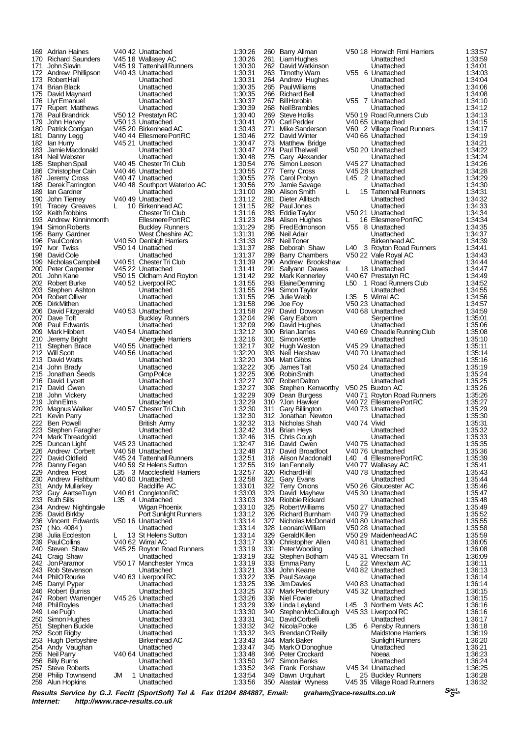206 David Fitzgerald V40 53 Unattached<br>207 Dave Toft Buckley Rui 257 Steve Roberts Unattached 1:33:52 258 Philip Townsend JM 1 Unattached 1:33:54 Alun Hopkins

169 Adrian Haines V40 42 Unattached 1:30:26<br>170 Richard Saunders V45 18 Wallasey AC 1:30:26 170 Richard Saunders V45 18 Wallasey AC 1:30:26 171 John Slavin V45 19 Tattenhall Runners 1:30:30 172 Andrew Phillipson  $\sqrt{40.43}$  Unattached 1:30:31<br>173 Robert Hall Unattached 1:30:31 173 Robert Hall Unattached 1:30:31 174 Brian Black Unattached 1:30:35 175 David Maynard Unattached 1:30:35 176 Llyr Emanuel Unattached 1:30:37 177 Rupert Matthews Unattached 1:30:39 178 Paul Brandrick V50 12 Prestatyn RC 1:30:40 179 John Harvey V50 13 Unattached 1:30:41 Patrick Corrigan V45 20 Birkenhead AC 1:30:43<br>Danny Legg V40 44 Ellesmere Port RC 1:30:46 181 Danny Legg V40 44 Ellesmere Port RC 1:30:46 182 Ian Hurry **V45 21 Unattached** 1:30:47 183 Jamie Macdonald Unattached 1:30:47 184 Neil Webster Unattached 1:30:48<br>185 Stephen Spall 1:30:54<br>185 Stephen Spall 1:30:54 185 Stephen Spall V40 45 Chester Tri Club 1:30:54 186 Christopher Cain V40 46 Unattached 1:30:55 187 Jeremy Cross 197 187 Unattached 1:30:55<br>187 Jeremy Cross 1980 1:30:55<br>188 Derek Farrington 1:40 48 Southport Waterloo AC 1:30:56 188 Derek Farrington V40 48 Southport Waterloo AC 1:30:56 189 Ian Gardner **Christian Contracted 1:31:00**<br>190 John Tierney 1:31:12<br>1:31:12 190 John Tierney 1940 49 Unattached 1:31:12<br>191 Tracev Greaves L 10 Birkenhead AC 1:31:15 191 Tracey Greaves L 10 Birkenhead AC 1:31:15<br>192 Keith Robbins Chester Tri Club 1:31:16 191 Tracey Greaves L 10 Birkenhead AC 1:31:15<br>192 Keith Robbins Chester Tri Club 1:31:16<br>193 Andrew Kinninmonth Ellesmere Port RC 1:31:23 193 Andrew Kinninmonth Ellesmere Port RC 1:31:23 194 Simon Roberts **Buckley Runners** 1:31:29 195 Barry Gardner West Cheshire AC 1:31:31 196 Paul Conlon V40 50 Denbigh Harriers 1:31:33 197 Ivor Twiss V50 14 Unattached 1:31:37 198 David Cole **David Cole Unattached** 1:31:37<br>199 Nicholas Campbell V40 51 Chester Tri Club 1:31:39 199 Nicholas Campbell V40 51 Chester Tri Club 1:31:39<br>
200 Peter Carpenter V45 22 Unattached 1:31:41<br>
201 John Kane V50 15 Oldham And Rovton 1:31:42 200 Peter Carpenter V45 22 Unattached 1:31:41 201 John Kane V50 15 Oldham And Royton 1:31:42 202 Robert Burke V40 52 Liverpool RC 1:31:55<br>203 Stephen Ashton Unattached 1:31:55 203 Stephen Ashton Unattached 1:31:55 204 Robert Olliver Unattached 1:31:55 205 Dirk Mithen Unattached 1:31:58 207 Dave Toft **Buckley Runners** 1:32:04<br>208 Paul Edwards **Buckley Bunattached** 1:32:09 208 Paul Edwards Unattached 1:32:09 209 Mark Hibbert V40 54 Unattached 1:32:12 210 Jeremy Bright Abergele Harriers 1:32:16<br>211 Stephen Brace V40 55 Unattached 1:32:17 211 Stephen Brace V40 55 Unattached 1:32:17 212 Will Scott V40 56 Unattached 1:32:20 213 David Watts Unattached 1:32:20 214 John Brady Unattached 1:32:22 215 Jonathan Seeds Gmp Police 1:32:25<br>216 David Lycett Christian Lunattached 1:32:27 216 David Lycett **David Lycett Community Community Unattached** 1:32:27<br>217 David Owen **Unattached** 1:32:27 217 David Owen Unattached 1:32:27<br>218 John Vickery Unattached 1:32:27<br>218 John Vickery Unattached 1:32:29 218 John Vickery Unattached 1:32:29 219 John Elms (1:32:29 Unattached 1:32:29 Applicance Unattached 1:32:29 Magnus Walker (1:32:30 Vietname 1:32:30 Vietname 1:32:30 Vietname 1:32:30 Vietname 1:32:30 Vietname 1:32:30 Vietname 1:32:30 Vietname 1:32:30 Vietname 220 Magnus Walker V40 57 Chester Tri Club 1:32:30 221 Kevin Parry Unattached 1:32:30 222 Ben Powell **British Army 1:32:32**<br>223 Stephen Faragher **British Army 1:32:42** 223 Stephen Faragher Unattached 1:32:42 224 Mark Threadgold Unattached 1:32:46 225 Duncan Light V45 23 Unattached 1:32:47 226 Andrew Corbett V40 58 Unattached 1:32:48 227 David Oldfield V45 24 Tattenhall Runners 1:32:51 228 Danny Fegan V40 59 St Helens Sutton 1:32:55 229 Andrea Frost L35 3 Macclesfield Harriers 1:32:57 230 Andrew Fishburn V40 60 Unattached 1:32:58 231 Andy Mullarkey **Radcliffe AC** 1:33:01<br>232 Guy AartseTuyn V40 61 Congleton RC 1:33:03 232 Guy AartseTuyn V40 61 Congleton RC 1:33:03<br>233 Ruth Sills 1:35 4 Unattached 1:33:03 4 Unattached 234 Andrew Nightingale Wigan Phoenix 1:33:10 235 David Birkby Port Sunlight Runners 1:33:12<br>236 Vincent Edwards V50 16 Unattached 1:33:14 236 Vincent Edwards V50 16 Unattached 1:33:14<br>237 (No. 4084) Unattached 1:33:14 237 ( No. 4084 ) Unattached 1:33:14 238 Julia Eccleston L 13 St Helens Sutton 1:33:14 239 Paul Collins V40 62 Wirral AC 1:33:17<br>240 Steven Shaw V45 25 Royton Road Runners 1:33:19 240 Steven Shaw V45 25 Royton Road Runners 1:33:19 241 Craig Shaw Unattached 1:33:19 242 Jon Paramor V50 17 Manchester Ymca 1:33:19 243 Rob Stevenson Unattached 1:33:21<br>244 PhilO'Rourke V40 63 Liverpool RC 1:33:22 244 Phil O'Rourke V40 63 Liverpool RC 1:33:22<br>245 Darryl Pyper Unattached 1:33:25 245 Darryl Pyper Unattached 1:33:25 246 Robert Burriss Unattached 1:33:25 247 Robert Warrenger V45 26 Unattached 1:33:26 248 Phil Royles **Phil Royles** Contracted 2012 1:33:29<br>
1:433:30 Unattached 1:33:30 249 Lee Pugh Unattached 1:33:30 250 Simon Hughes Unattached 1:33:31 251 Stephen Buckle Unattached 1:33:32 252 Scott Rigby Unattached 1:33:32 253 Hugh Derbyshire Birkenhead AC 1:33:43 254 Andy Vaughan Unattached 1:33:47 255 Neil Parry V40 64 Unattached 1:33:48<br>256 Billy Burns V40 64 Unattached 1:33:50 256 Billy Burns Unattached 1:33:50

297 David Dowson V40 68 Unattached<br>298 Gary Eaborn Serpentine 324 Riobbie Rickard Unattached 1:35:48 342 Nicola Pooke L35 6 Pensby Runners<br>343 Brendan O'Reilly Maidstone Harrie

260 Barry Allman V50 18 Horwich Rmi Harriers 1:33:57 261 Liam Hughes Unattached 1:33:59 262 David Watkinson Unattached 1:34:01 263 Timothy Warn V55 6 Unattached 1:34:03 264 Andrew Hughes Unattached 1:34:04 265 Paul Williams Unattached 1:34:06 266 Richard Bell **1:34:08**<br>267 Bill Horobin **1:34:08**<br>267 Bill Horobin **1:34:10** 267 Bill Horobin V55 7 Unattached 1:34:10 268 Neil Brambles Unattached 1:34:12 269 Steve Hollis V50 19 Road Runners Club 1:34:13 270 Carl Pedder V40 65 Unattached 1:34:15<br>271 Mike Sanderson V60 2 Village Road Runners 1:34:17 271 Mike Sanderson V60 2 Village Road Runners 1:34:17<br>272 David Winter V40 66 Unattached 1:34:19 272 David Winter V40 66 Unattached 1:34:19 273 Matthew Bridge Unattached 1:34:21<br>274 Paul Thelwell V50 20 Unattached 1:34:22 274 Paul Thelwell V50 20 Unattached 1:34:22<br>275 Gary Alexander Chattached 1:34:24 275 Gary Alexander Unattached 1:34:24 276 Simon Leeson V45 27 Unattached 1:34:26<br>277 Terry Cross V45 28 Unattached 1:34:28 277 Terry Cross  $277$  Terry Cross  $278$  Carol Probyn  $278$  Carol Probyn  $278$  Carol Probyn  $278$  Carol Probyn  $29$ 278 Carol Probyn L45 2 Unattached 1:34:29<br>279 Jamie Savage L45 2 Unattached 1:34:30 279 Jamie Savage Unattached 1:34:30 280 Alison Smith L 15 Tattenhall Runners 1:34:31 281 Dieter Allitsch Parties (State Unattached 1:34:32<br>282 Paul Jones Director Unattached 1:34:32 282 Paul Jones Unattached 1:34:33 283 Eddie Taylor V50 21 Unattached 1:34:34 284 Alison Hughes L 16 Ellesmere Port RC 1:34:34 285 Fred Edmonson V55 8 Unattached 1:34:35 286 Neil Adair Carl Carl Unattached 1:34:37<br>287 Neil Toner Birkenhead AC 1:34:37 287 Neil Toner Birkenhead AC 1:34:39 288 Deborah Shaw L40 3 Royton Road Runners 1:34:41 289 Barry Chambers V50 22 Vale Royal AC 1:34:43 290 Andrew Brookshaw Unattached 1:34:44<br>291 Sallyann Dawes L 18 Unattached 1:34:47<br>292 Mark Kennerley V40.67 Prestatyn RC 1:34:49 291 Sallyann Dawes L 18 Unattached 1:34:47 292 Mark Kennerley V40 67 Prestatyn RC 1:34:49 293 Elaine Demming L50 1 Road Runners Club 1:34:52<br>293 Elaine Demming L50 1 Road Runners Club 1:34:52<br>294 Simon Taylor Unattached 1:34:55 294 Simon Taylor Unattached 1:34:55 295 Julie Webb L35 5 Wirral AC 1:34:56 296 Joe Foy **V50 23 Unattached 1:34:57**<br>297 David Dowson V40 68 Unattached 1:34:59 298 Gary Eaborn Serpentine 1:35:01 299 David Hughes Unattached 1:35:06 300 Brian James V40 69 Cheadle Running Club 1:35:08 301 Simon Kettle Unattached 1:35:10<br>302 Hugh Weston V45 29 Unattached 1:35:11 302 Hugh Weston V45 29 Unattached 1:35:11 303 Neil Hershaw V40 70 Unattached 1:35:14 304 Matt Gibbs Unattached 1:35:16 305 James Tait V50 24 Unattached 1:35:19 306 Robin Smith Unattached 1:35:24 307 Robert Dalton Unattached 1:35:25 308 Stephen Kenworthy V50 25 Buxton AC 1:35:26<br>309 Dean Burgess V40 71 Royton Road Runners 1:35:26 309 Dean Burgess V40 71 Royton Road Runners 1:35:26 310 ?Jon Hawker V40 72 Ellesmere Port RC 1:35:27 311 Gary Billington V40 73 Unattached 1:35:29 312 Jonathan Newton Unattached 1:35:30 313 Nicholas Shah V40 74 Vivid 1:35:31 314 Brian Heys Unattached 1:35:32 315 Chris Gough Unattached 1:35:33 316 David Owen V40 75 Unattached 1:35:35 317 David Broadfoot V40 76 Unattached 1:35:36 318 Alison Macdonald L40 4 Ellesmere Port RC 1:35:39 319 Ian Fennelly V40 77 Wallasey AC 1:35:41 320 Richard Hill V40 78 Unattached 1:35:43 321 Gary Evans Unattached 1:35:44 322 Terry Onions V50 26 Gloucester AC 1:35:46 323 David Mayhew V45 30 Unattached 1:35:47<br>324 Riobbie Rickard Unattached 1:35:48 325 Robert Williams V50 27 Unattached 1:35:49 326 Richard Burnham V40 79 Unattached 1:35:52 327 Nicholas McDonald V40 80 Unattached 1:35:55 328 Leonard William V50 28 Unattached 1:35:58 329 Gerald Killen V50 29 Maidenhead AC 1:35:59 330 Christopher Allen V40 81 Unattached 1:36:05 331 Peter Wooding Unattached 1:36:08 332 Stephen Botham V45 31 Wrecsam Tri 1:36:09 333 Emma Parry L 22 Wrexham AC 1:36:11<br>334 John Keane V40 82 Unattached 1:36:13 334 John Keane V40 82 Unattached 1:36:13 335 Paul Savage Unattached 1:36:14 336 Jim Davies V40 83 Unattached 1:36:14 337 Mark Pendlebury V45 32 Unattached 1:36:15 338 Niel Fowler 11:36:15<br>339 Linda Levland 11:36:16<br>339 Linda Levland 11:36:16 339 Linda Leyland L45 3 Northern Vets AC 1:36:16 340 Stephen McCullough V45 33 Liverpool RC 1:36:16 341 David Corbelli Unattached 1:36:17 343 Brendan O'Reilly Maidstone Harriers 1:36:19 344 Mark Baker Sunlight Runners 1:36:20 345 Mark O'Donoghue Unattached 1:36:21 346 Peter Crockard Noeaa 1:36:23 347 Simon Banks Unattached 1:36:24 348 Frank Forshaw V45 34 Unattached 1:36:25 349 Dawn Urquhart L 25 Buckley Runners 1:36:28  $\overline{V}$ 45 35 Village Road Runners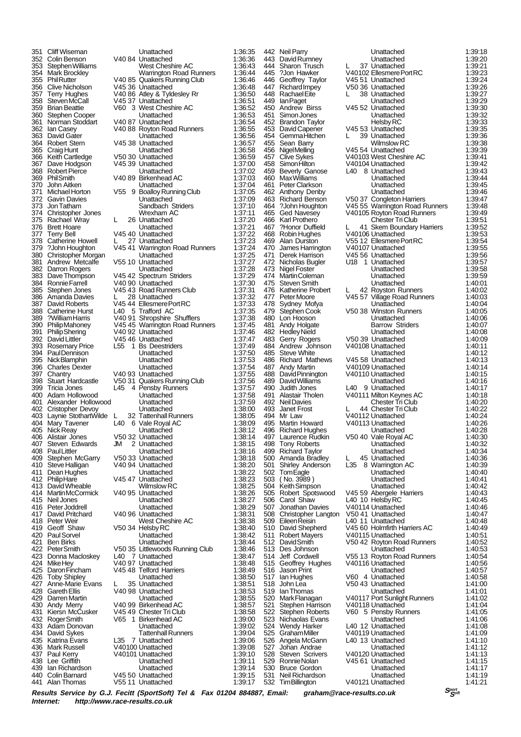382 Darron Rogers<br>383 Dave Thompson Catherine Hurst<br>
?William Harris

351 Cliff Wiseman Unattached 1:36:35 352 Colin Benson V40 84 Unattached 1:36:36 353 Stephen Williams West Cheshire AC 1:36:43<br>354 Mark Brockley Warrington Road Runners 1:36:44 354 Mark Brockley Warrington Road Runners 1:36:44 355 Phil Rutter V40 85 Quakers Running Club 1:36:46 356 Clive Nicholson V45 36 Unattached 1:36:48<br>357 Terry Hughes V40 86 Atley & Tyldeslev Rr 1:36:50 357 Terry Hughes V40 86 Atley & Tyldesley Rr 1:36:50 358 Steven McCall  $\overline{0.37}$  Unattached 1:36:51<br>359 Brian Beattie V60 3 West Cheshire AC 1:36:52 359 Brian Beattie V60 3 West Cheshire AC 1:36:52 360 Stephen Cooper Unattached 1:36:53 361 Norman Stoddart V40 87 Unattached 1:36:54 362 Ian Casey V40 88 Royton Road Runners 1:36:55 363 David Gater Unattached 1:36:56 364 Robert Stern V45 38 Unattached 1:36:57 365 Craig Hunt Care Construction Unattached 1:36:58<br>366 Keith Cartledge V50 30 Unattached 1:36:59 366 Keith Cartledge V50 30 Unattached 1:36:59 367 Dave Hodgson V45 39 Unattached 1:37:00 368 Robert Pierce **1:37:02**<br>369 Phil Smith 1:37:03 V40 89 Birkenhead AC 1:37:03 369 Phil Smith V40 89 Birkenhead AC 1:37:03 370 John Aitken Unattached 1:37:04 371 Michael Horton V55 9 Boalloy Running Club 1:37:05 372 Gavin Davies Unattached 1:37:09 373 Jon Tatham **Sandbach Striders** 1:37:10<br>374 Christopher Jones Wrexham AC 1:37:11 374 Christopher Jones Wrexham AC 1:37:11 375 Rachael Wray L 26 Unattached 1:37:20 376 Brett Hoare Unattached 1:37:21 377 Terry Bell V45 40 Unattached 1:37:22<br>378 Catherine Howell L 27 Unattached 1:37:23 378 Catherine Howell L 27 Unattached 1:37:23<br>379 ?John Houghton V45 41 Warrington Road Runners 1:37:24 379 ?John Houghton V45 41 Warrington Road Runners 1:37:24 380 Christopher Morgan Unattached 1:37:25 381 Andrew Metcalfe V55 10 Unattached 1:37:27<br>382 Darron Rogers Unattached 1:37:28<br>383 Dave Thompson V45 42 Spectrum Striders 1:37:29 383 Dave Thompson V45 42 Spectrum Striders 1:37:29 384 Ronnie Farrell V40 90 Unattached 1:37:30<br>385 Stephen Jones V45 43 Road Runners Club 1:37:30 385 Stephen Jones V45 43 Road Runners Club 1:37:31 386 Amanda Davies L 28 Unattached 1:37:32 387 David Roberts V45 44 Ellesmere Port RC 1:37:33 389 ?William Harris 2002 Patter of Shropshire Shufflers 1:37:38<br>390 Philip Mahoney 2014 V45 45 Warrington Road Runners 1:37:45 390 Philip Mahoney V45 45 Warrington Road Runners 1:37:45<br>391 Philip Shering V40 92 Unattached 1:37:46 391 Philip Shering v40 92 Unattached 1:37:46<br>392 David Littler v45 46 Unattached 1:37:47 392 David Littler V45 46 Unattached 1:37:47 393 Rosemary Price L55 1 Bs Deestriders 1:37:49 394 Paul Dennison Unattached 1:37:50 395 Nick Blamphin Unattached 1:37:53 396 Charles Dexter Unattached 1:37:54 397 Chantry V40 93 Unattached 1:37:55 398 Stuart Hardcastle V50 31 Quakers Running Club 1:37:56 399 Tricia Jones L45 4 Pensby Runners 1:37:57 400 Adam Hollowood Unattached 1:37:58 401 Alexander Hollowood Unattached 1:37:59 402 Cristopher Devoy Unattached 1:38:00 403 Laynie StothartWilde L 32 Tattenhall Runners 1:38:05 404 Mary Tavener 1.40 6 Vale Royal AC 1:38:09<br>405 Nick Reav 1:38:12 Unattached 1:38:12 405 Nick Reay Unattached 1:38:12 406 Alistair Jones V50 32 Unattached 1:38:14 407 Steven Edwards JM 2 Unattached 1:38:15<br>408 Paul Littler Louis Unattached 1:38:16 408 Paul Littler Unattached 1:38:16<br>409 Stephen McGarry 1/50.33 Unattached 1:38:18 409 Stephen McGarry V50 33 Unattached 1:38:18 410 Steve Halligan V40 94 Unattached 1:38:20 411 Dean Hughes **Canadian Contract Contract Contract Contract Property** 1:38:22<br>412 PhilipHare V45 47 Unattached 1:38:23 412 Philip Hare **V45 47 Unattached 1:38:23**<br>413 David Wheable Wilmslow RC 1:38:25 413 David Wheable Wilmslow RC 1:38:25 414 Martin McCormick V40 95 Unattached 1:38:26 Unattached 416 Peter Joddrell **1:38:29**<br>417 David Pritchard V40 96 Unattached 1:38:31 417 David Pritchard V40 96 Unattached 1:38:31<br>418 Peter Weir West Cheshire AC 1:38:38 418 Peter Weir West Cheshire AC 1:38:38<br>419 Geoff Shaw V50 34 Helsby RC 1:38:40 419 Geoff Shaw V50 34 Helsby RC 1:38:40<br>420 Paul Sorvel Consult Unattached 1:38:42 420 Paul Sorvel Unattached 1:38:42 421 Ben Birks Unattached 1:38:44 422 Peter Smith V50 35 Littlewoods Running Club 1:38:46 423 Donna Macloskey L40 7 Unattached 1:38:47 424 Mike Hey Law 1:00.41 Mike Hey Law 1:38:48<br>424 Mike Hey V40 97 Unattached 1:38:48<br>425 Daron Fincham V45 48 Telford Harriers 1:38:49 425 Daron Fincham V45 48 Telford Harriers 1:38:49 426 Toby Shipley **1:38:50**<br>427 Anne-Marie Evans L 35 Unattached 1:38:51 427 Anne-Marie Evans L 35 Unattached 1:38:51<br>428 Gareth Ellis V40 98 Unattached 1:38:53 428 Gareth Ellis V40 98 Unattached 1:38:53 429 Darren Martin Unattached 1:38:55 433:57 Andy Merry V40 99 Birkenhead AC 1:38:57<br>Kiersn McCusker V45 49 Chester Tri Club 1:38:58 431 Kiersn McCusker V45 49 Chester Tri Club 1:38:58 432 Roger Smith V65 1 Birkenhead AC 1:39:00<br>433 Adam Donovan Unattached 1:39:02 Adam Donovan Unattached 1:39:02<br>
David Sykes Tattenhall Runners 1:39:04<br>
Katrina Evans L35 7 Unattached 1:39:06 434 David Sykes Tattenhall Runners 1:39:04 435 Katrina Evans L35 7 Unattached 1:39:06<br>436 Mark Russell V40100 Unattached 1:39:08 436 Mark Russell V40100 Unattached 1:39:08 437 Paul Kerry **1:39:10** V40101 Unattached 1:39:10<br>438 Lee Griffith **1:39:11** Unattached 1:39:11 438 Lee Griffith 1:39:11<br>439 Ian Richardson Mattached 1:39:11<br>439 Ian Richardson Unattached 1:39:14 439 Ian Richardson Unattached 1:39:14 440 Colin Barnard V45 50 Unattached 1:39:15 V55 11 Unattached

446 Geoffrey Taylor V45 51 Unattached<br>447 Richard Impey V50 36 Unattached 479 Stephen Cook V50 38 Winston Runners<br>480 Lon Hooson Linattached Carol Shaw L40 10 Helsby RC<br>Jonathan Davies V40114 Unattached

442 Neil Parry Unattached 1:39:18 443 David Rumney Unattached 1:39:20 444 Sharon Trusch L 37 Unattached 1:39:21 445 ?Jon Hawker V40102 Ellesmere Port RC 1:39:23 447 Richard Impey V50 36 Unattached 1:39:26 448 Rachael Eite L 38 Unattached 1:39:27<br>449 Ian Paget L 38 Unattached 1:39:27 449 Ian Paget **Contract Contract Contract Contract Contract Contract Contract Contract Contract Contract Contract Contract Contract Contract Contract Contract Contract Contract Contract Contract Contract Contract Contract** 450 Andrew Birss 1.39:30<br>451 Simon Jones 1:39:30 Unattached 1:39:32 451 Simon Jones **Contract Unattached** 1:39:32<br>452 Brandon Taylor **Helsby RC** 1:39:33 452 Brandon Taylor Helsby RC 1:39:33 453 David Capener V45 53 Unattached 1:39:35 454 Gemma Hitchen L 39 Unattached 1:39:36 455 Sean Barry **1986 1:39:38**<br>456 NigelMelling 1:39:38<br>456 NigelMelling 1:39:39 456 Nigel Melling (1.39:39)<br>456 Nigel Melling (1.39:39)<br>457 Clive Sykes (1.39:41) V40103 West Cheshire AC (1.39:41) 457 Clive Sykes V40103 West Cheshire AC 1:39:41 458 Simon Hilton V40104 Unattached 1:39:42 459 Beverly Ganose L40 8 Unattached 1:39:43 460 Max Williams Unattached 1:39:44 461 Peter Clarkson Unattached 1:39:45 462 Anthony Denby Unattached 1:39:46 463 Richard Benson V50 37 Congleton Harriers 1:39:47 464 ?John Houghton V45 55 Warrington Road Runners 1:39:48 465 Ged Navesey V40105 Royton Road Runners 1:39:49 466 Karl Prothero **Chester Tri Club** 1:39:51<br>1:39:52 467 Protor Duffield L 41 Skem Boundary Harriers 1:39:52 467 ?Honor Duffield L 41 Skem Boundary Harriers 1:39:52 468 Robin Hughes V40106 Unattached 1:39:53 469 Alan Durston V55 12 Ellesmere Port RC 1:39:54 470 James Harrington V40107 Unattached 1:39:55<br>471 Derek Harrison V45 56 Unattached 1:39:56 471 Derek Harrison V45 56 Unattached 1:39:56 472 Nicholas Bugler U18 1 Unattached 1:39:57<br>473 Nigel Foster Unattached 1:39:58 473 Nigel Foster (1:39:58 Unattached 1:39:58 (1:39:59 )<br>1:39:59 Unattached 1:39:59 (1:39:59 ) 474 Martin Coleman Unattached 1:39:59 475 Steven Smith **11 Unattached** 1:40:01<br>476 Katherine Probert L 42 Royston Runners 1:40:02 476 Katherine Probert L 42 Royston Runners 1:40:02 477 Peter Moore V45 57 Village Road Runners 1:40:03 478 Sydney Mofya Unattached 1:40:04 480 Lon Hooson Unattached 1:40:06 481 Andy Holgate Barrow Striders 1:40:07 482 Hedley Nield **Direct Unattached 1:40:08**<br>483 Gerry Rogers **1:40:08** V50 39 Unattached 1:40:09 483 Gerry Rogers V50 39 Unattached 1:40:09<br>484 Andrew Johnson V40108 Unattached 1:40:11 484 Andrew Johnson V40108 Unattached 1:40:11 485 Steve White **Unattached** 1:40:12<br>486 Richard Mathews V45.58 Unattached 1:40:13 486 Richard Mathews V45 58 Unattached 1:40:13<br>486 Richard Mathews V45 58 Unattached 1:40:13<br>487 Andy Martin V40109 Unattached 1:40:14 487 Andy Martin V40109 Unattached 1:40:14 488 David Pinnington V40110 Unattached 1:40:15 489 David Williams Unattached 1:40:16<br>490 Judith Jones L40 9 Unattached 1:40:16 490 Judith Jones L40 9 Unattached 1:40:17 491 Alastair Tholen V40111 Milton Keynes AC 1:40:18 492 Neil Davies Chester Tri Club 1:40:20 493 Janet Frost L 44 Chester Tri Club 1:40:22<br>494 Mr Law V40112 Unattached 1:40:22 494 Mr Law  $\overline{V}$ 40112 Unattached 1:40:24<br>495 Martin Howard  $V$ 40113 Unattached 1:40:26 495 Martin Howard V40113 Unattached 1:40:26<br>496 Richard Hughes Unattached 1:40:28 496 Richard Hughes Unattached 1:40:28 497 Laurence Rudkin V50 40 Vale Royal AC 1:40:30<br>498 Tony Roberts Unattached 1:40:32 498 Tony Roberts **1:40:32**<br>499 Richard Taylor **1:40:34**<br>499 Richard Taylor **Unattached** 1:40:34 499 Richard Taylor Unattached 1:40:34 500 Amanda Bradley L 45 Unattached 1:40:36 501 Shirley Anderson L35 8 Warrington AC 1:40:39 502 Tom Eagle Unattached 1:40:40 503 ( No. 3989 ) Unattached 1:40:41 504 Keith Simpson Unattached 1:40:42 505 Robert Spotswood V45 59 Abergele Harriers 1:40:43 507 Jonathan Davies V40114 Unattached 1:40:46<br>508 Christopher Langton V50 41 Unattached 1:40:47 508 Christopher Langton V50 41 Unattached 1:40:47 509 Eileen Reisin L40 11 Unattached 1:40:48<br>510 David Shepherd V45 60 Holmfirth Harriers AC 1:40:49 510 David Shepherd V45 60 Holmfirth Harriers AC 1:40:49 511 Robert Mayers V40115 Unattached 1:40:51<br>512 David Smith V50 42 Royton Road Runners 1:40:52 512 David Smith V50 42 Royton Road Runners 1:40:52<br>513 Des Johnson Unattached 1:40:53<br>514 Jeff Cordwell V55 13 Royton Road Runners 1:40:54 53:3 Des Johnson Unattached 1:40:53<br>1:40:54 Jeff Cordwell 1:40:54 V55 13 Rovton Road Runners 514 Jeff Cordwell V55 13 Royton Road Runners 1:40:54<br>515 Geoffrey Hughes V40116 Unattached 1:40:56 515 Geoffrey Hughes V40116 Unattached 1:40:56<br>515 Geoffrey Hughes V40116 Unattached 1:40:57 516 Jason Print Unattached 1:40:57<br>517 Ian Hughes V60 4 Unattached 1:40:58 517 Ian Hughes V60 4 Unattached 1:40:58 518 John Lea V50 43 Unattached 1:41:00 519 Ian Thomas Unattached 1:41:01 520 Mark Flanagan V40117 Port Sunlight Runners 1:41:02 521 Stephen Harrison V40118 Unattached 1:41:04<br>522 Stephen Roberts V60 5 Pensby Runners 1:41:05 522 Stephen Roberts V60 5 Pensby Runners 1:41:05 523 Nichaolas Evans Unattached 1:41:06 524 Wendy Harker L40 12 Unattached 1:41:08 525 Graham Miller V40119 Unattached 1:41:09 526 Angela McGann L40 13 Unattached 1:41:10 527 Johan Andrae Unattached 1:41:12 528 Steven Scrivers V40120 Unattached 1:41:13 529 Ronnie Nolan V45 61 Unattached 1:41:15 530 Bruce Gordon Unattached 1:41:17 531 Neil Richardson Unattached 1:41:19 V40121 Unattached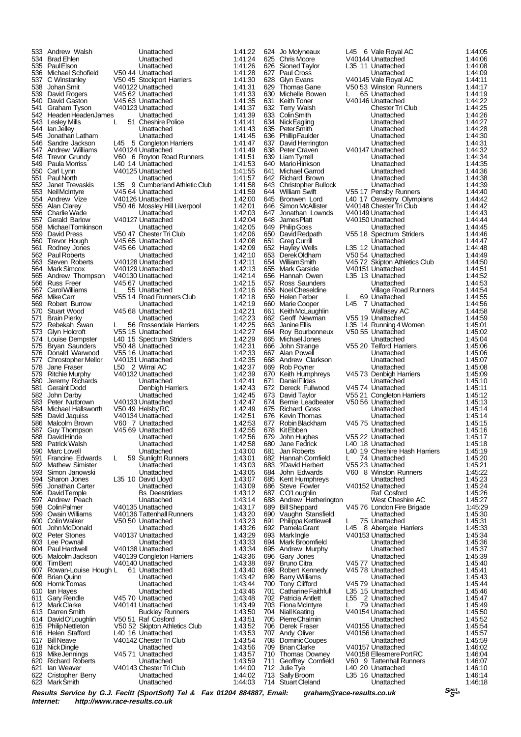533 Andrew Walsh Unattached 1:41:22 534 Brad Ehlen Unattached 1:41:24 535 Paul Elson Unattached 1:41:26 536 Michael Schofield V50 44 Unattached 1:41:28<br>537 C Winstanley V50 45 Stockport Harriers 1:41:30 537 C Winstanley  $V50 45$  Stockport Harriers 1:41:30 538 Johan Smit V40122 Unattached 1:41:31 539 David Rogers V45 62 Unattached 1:41:33 540 David Gaston V45 63 Unattached 1:41:35 541 Graham Tyson V40123 Unattached 1:41:37<br>542 Headen Headen James Unattached 1:41:39 542 Headen Headen James Unattached 1:41:39<br>543 Lesley Mills L 51 Cheshire Police 1:41:41 543 Lesley Mills L 51 Cheshire Police 1:41:41 544 Ian Jelley<br>545 Jonathan 545 Jonathan Latham Unattached 1:41:45<br>546 Sandre Jackson L45 5 Congleton Harriers 1:41:47<br>547 Andrew Williams V40124 Unattached 1:41:49 546 Sandre Jackson L45 5 Congleton Harriers 1:41:47 547 Andrew Williams V40124 Unattached 1:41:49 548 Trevor Grundy V60 6 Royton Road Runners 1:41:51<br>549 Paula Morriss L40 14 Unattached 1:41:53 549 Paula Morriss L40 14 Unattached 1:41:53 550 Carl Lynn V40125 Unattached 1:41:55 551 Paul North **Diattached 1:41:57**<br>552 Janet Trevaskis L35 9 Cumberland Athletic Club 1:41:58 552 Janet Trevaskis L35 9 Cumberland Athletic Club 1:41:58 553 Neil McIntyre 145 64 Unattached 1:41:59<br>554 Andrew Vize 1:40126 Unattached 1:42:00 554 Andrew Vize V40126 Unattached 1:42:00 555 Alan Clarey  $\overline{V}$  V50 46 Mossley Hill Liverpool 1:42:01<br>556 Charlie Wade Unattached 1:42:03 556 Charlie Wade **Unattached 1:42:03**<br>557 Gerald Barlow V40127 Unattached 1:42:04 557 Gerald Barlow V40127 Unattached 1:42:04 558 Michael Tomkinson Unattached 1:42:05 559 David Press V50 47 Chester Tri Club 1:42:06<br>560 Trevor Hough V45 65 Unattached 1:42:08 560 Trevor Hough V45 65 Unattached 1:42:08 561 Rodney Jones V45 66 Unattached 1:42:09 562 Paul Roberts Unattached 1:42:10 563 Steven Roberts V40128 Unattached 1:42:11<br>564 Mark Simcox V40129 Unattached 1:42:13<br>565 Andrew Thompson V40130 Unattached 1:42:14 564 Mark Simcox V40129 Unattached 1:42:13 565 Andrew Thompson V40130 Unattached 1:42:14 566 Russ Freer V45 67 Unattached 1:42:15 567 Carol Williams L 55 Unattached 1:42:16 568 Mike Carr V55 14 Road Runners Club 1:42:18 569 Robert Burrow Unattached 1:42:19 571 Brain Pierky Unattached 1:42:23 572 Rebekah Swan L 56 Rossendale Harriers 1:42:25 573 Glyn Holcroft V55 15 Unattached 1:42:27<br>574 Louise Dempster L40 15 Spectrum Striders 1:42:29 574 Louise Dempster L40 15 Spectrum Striders 1:42:29<br>575 Bryan Saunders V50 48 Unattached 1:42:31 575 Bryan Saunders V50 48 Unattached 1:42:31 576 Donald Warwood V55 16 Unattached 1:42:33<br>577 Chrostopher Mellor V40131 Unattached 1:42:35 577 Chrostopher Mellor V40131 Unattached 1:42:35 579 Ritchie Murphy  $\overline{V40132}$  Unattached 1:42:39<br>580 Jeremy Richards Unattached 1:42:39 580 Jeremy Richards Unattached 1:42:41<br>581 Geraint Dodd Denbigh Harriers 1:42:43 581 Geraint Dodd Denbigh Harriers 1:42:43 582 John Darby Unattached 1:42:45 583 Peter Nutbrown V40133 Unattached 1:42:47 584 Michael Hallsworth V50 49 Helsby RC 1:42:49 585 David Jaquiss V40134 Unattached 1:42:51 586 Malcolm Brown V60 7 Unattached 1:42:53 587 Guy Thompson V45 69 Unattached 1:42:55<br>588 David Hinde View Unattached 1:42:56 588 David Hinde Unattached 1:42:56 589 Patrick Walsh Unattached 1:42:58 590 Marc Lovell Unattached 1:43:00 591 Francine Edwards L 59 Sunlight Runners 1:43:01 591 Francine Edwards L 59 Sunlight Runners 1:43:01<br>592 Mathew Simister Unattached 1:43:03<br>593 Simon Janowski Unattached 1:43:05 593 Simon Janowski Unattached 1:43:05 594 Sharon Jones L35 10 David Lloyd 1:43:07 595 Jonathan Carter Unattached 1:43:09 596 David Temple Bs Deestriders 1:43:12 598 Colin Palmer V40135 Unattached 1:43:17 599 Owain Williams V40136 Tattenhall Runners 1:43:20 601 John McDonald Unattached 1:43:26 602 Peter Stones V40137 Unattached 1:43:29 603 Lee Pownall Unattached 1:43:33 605 Malcolm Jackson V40139 Congleton Harriers 1:43:36 607 Rowan-Louise Hough L 61 Unattached 1:43:40 608 Brian Quinn Unattached 1:43:42 609 Hornk Tomas Unattached 1:43:44 610 Ian Hayes Unattached 1:43:46 611 Gary Rendle V45 70 Unattached 1:43:48 612 Mark Clarke V40141 Unattached<br>613 Darren Smith Buckley Ru 613 Darren Smith Buckley Runners 1:43:50 614 David O'Loughlin V50 51 Raf Cosford 1:43:51<br>615 Philip Nettleton V50 52 Skipton Athletics Club 1:43:52 616 Helen Stafford L40 16 Unattached 1:43:53<br>617 Bill Neave V40142 Chester Tri Club 1:43:54 617 Bill Neave V40142 Chester Tri Club 1:43:54<br>618 Nick Dinalte V40142 Chester Tri Club 1:43:56 Nick Dingle 619 Mike Jennings V45 71 Unattached 1:43:57 620 Richard Roberts Unattached 1:43:59 621 Ian Weaver V40143 Chester Tri Club 1:44:00<br>622 Cristopher Berry Unattached 1:44:02 Cristopher Berry **1:44:02**<br>Mark Smith Unattached 1:44:03 623 Mark Smith

V45 68 Unattached 578 Jane Fraser L50 2 Wirral AC 1:42:37 597 Andrew Peach Unattached 1:43:14 V50 50 Unattached 1:43:23<br>Unattached 1:43:26 V40138 Unattached V40140 Unattached 1:43:38<br>
L 61 Unattached 1:43:40 Philip Nettleton V50 52 Skipton Athletics Club<br>Helen Stafford L40 16 Unattached

| 624<br>625 | Jo ivioiyneaux<br>Chris Moore               | L4.<br>V4            |
|------------|---------------------------------------------|----------------------|
| 626<br>627 | Sioned Taylor<br>Paul Cross                 | L3                   |
| 628        | Glyn Evans                                  | V4                   |
| 629<br>630 | Thomas Gane<br>Michelle Bowen               | V <sub>5</sub><br>L  |
| 631        | Keith Toner                                 | V4                   |
| 632<br>633 | <b>Terry Walsh</b><br>Colin Smith           |                      |
| 634        | Nick Eagling                                |                      |
| 635<br>636 | Peter Smith<br>Phillip Faulder              |                      |
| 637        | David Herrington                            |                      |
| 638<br>639 | Peter Craven<br>Liam Tyrrell                | V4                   |
| 640        | Mario Hinkson                               |                      |
| 641<br>642 | Michael Garrod<br>Richard Brown             |                      |
| 643        | <b>Christopher Bullock</b>                  |                      |
| 644<br>645 | William Swift<br>Bronwen Lord               | V5<br>L4             |
| 646        | Simon McAllister                            | V4                   |
| 647        | Jonathan Lownds                             | V4                   |
| 648<br>649 | James Platt<br>Philip Goss                  | V4                   |
| 650        | David Redpath                               | V5                   |
| 651<br>652 | Greg Currill<br>Hayley Wells                | L3                   |
| 653        | Derek Oldham                                | V5                   |
| 654<br>655 | William Smith<br>Mark Garside               | V4<br>V4             |
| 656        | Hannah Owen                                 | L3                   |
| 657<br>658 | Ross Saunders<br>Noel Cheseldine            |                      |
| 659        | Helen Ferber                                | L                    |
| 660<br>661 | Marie Cooper<br>Keith McLaughlin            | L4                   |
| 662        | Geoff Newman                                | V5                   |
| 663        | Janine Ellis<br>Roy Bourbonneux             | L3<br>V5             |
| 664<br>665 | Michael Jones                               |                      |
| 666        | John Strange                                | V5                   |
| 667<br>668 | Alan Powell<br>Andrew Clarkson              |                      |
| 669        | Rob Poyner                                  |                      |
| 670<br>671 | Keith Humphreys<br>Daniel Fildes            | V4                   |
| 672        | Dereck Fullwood                             | V4                   |
| 673<br>674 | David Taylor<br>Bernie Leadbeater           | V5<br>V5             |
| 675        | <b>Richard Goss</b>                         |                      |
| 676<br>677 | Kevin Thomas<br>Robin Blackham              | V4                   |
| 678        | Kit Ebben                                   |                      |
| 679<br>680 | John Hughes<br>Jane Fedrick                 | V <sub>5</sub><br>L4 |
| 681        | Jan Roberts                                 | L4                   |
| 682<br>683 | Hannah Cornfield<br>?David Herbert          | L<br>V5              |
| 684        | John Edwards                                | V6                   |
| 685<br>686 | Kent Humphreys<br>Steve Fowler              | V4                   |
| 687        | CO'Loughlin                                 |                      |
| 688<br>689 | Andrew Hetherington<br><b>Bill Sheppard</b> | V4                   |
| 690        | Vaughn Stansfield                           |                      |
| 691<br>692 | Philippa Kettlewell<br>Pamela Grant         | L<br>L4              |
| 693        | Mark Ingle                                  | V4                   |
| 694<br>695 | Mark Broomfield<br>Andrew Murphy            |                      |
| 696        | Gary Jones                                  |                      |
| 697<br>698 | Bruno Citra<br>Robert Kennedy               | V4<br>V4             |
| 699        | Barry Williams                              |                      |
| 700<br>701 | Tony Clifford<br>Catharine Faithfull        | V4<br>L3             |
| 702        | Patricia Antlett                            | L5                   |
| 703<br>704 | Fiona McIntyre<br>NiallKeating              | L<br>V4              |
| 705        | PierreChalmin                               |                      |
| 706<br>707 | Derek Fraser<br>Andy Oliver                 | V4<br>V4             |
| 708        | Dominic Coupes                              |                      |
| 709<br>710 | Brian Clarke<br>Thomas Downey               | V4<br>V4             |
| 711        | Geoffrey Cornfield                          | V6                   |
| 712<br>713 | Julie Tye                                   | L4<br>L3             |
| 714        | Sally Broom<br>Stuart Cleland               |                      |
|            |                                             |                      |

|            | 624 Jo Molyneaux                            |    | L45 6 Vale Royal AC                                |              | 1:44:05            |
|------------|---------------------------------------------|----|----------------------------------------------------|--------------|--------------------|
|            | 625 Chris Moore                             |    | V40144 Unattached                                  |              | 1:44:06            |
|            | 626 Sioned Taylor                           |    | L35 11 Unattached                                  |              | 1.44:08            |
|            | 627 Paul Cross                              |    | Unattached                                         |              | 1.44.09            |
|            | 628 Glyn Evans                              |    | V40145 Vale Royal AC                               |              | 1:44:11            |
|            | 629 Thomas Gane                             |    | V50 53 Winston Runners                             |              | 1:44:17            |
|            | 630 Michelle Bowen                          |    | L 65 Unattached                                    |              | 1:44:19            |
|            | 631 Keith Toner                             |    | V40146 Unattached                                  |              | 1:44:22            |
|            | 632 Terry Walsh                             |    | <b>Chester Tri Club</b>                            |              | 1:44:25            |
|            | 633 ColinSmith                              |    | Unattached                                         |              | 1:44:26            |
|            | 634 Nick Eagling                            |    | Unattached                                         |              | 1:44:27            |
|            | 635 PeterSmith                              |    | Unattached                                         |              | 1:44:28            |
|            | 636 Phillip Faulder<br>637 David Herrington |    | Unattached<br>Unattached                           |              | 1:44:30<br>1:44:31 |
|            | 638 Peter Craven                            |    | V40147 Unattached                                  |              | 1:44:32            |
|            | 639 Liam Tyrrell                            |    | Unattached                                         |              | 1.44:34            |
|            | 640 MarioHinkson                            |    | Unattached                                         |              | 1:44:35            |
|            | 641 Michael Garrod                          |    | Unattached                                         |              | 1:44:36            |
|            | 642 Richard Brown                           |    | Unattached                                         |              | 1:44:38            |
|            | 643 Christopher Bullock                     |    | Unattached                                         |              | 1:44:39            |
|            | 644 William Swift                           |    | V55 17 Pensby Runners                              |              | 1:44:40            |
|            | 645 Bronwen Lord                            |    | L40 17 Oswestry Olympians                          |              | 1:44:42            |
|            | 646 Simon McAllister                        |    | V40148 Chester Tri Club                            |              | 1:44:42            |
|            | 647 Jonathan Lownds                         |    | V40149 Unattached                                  |              | 1:44:43            |
| 648        | James Platt                                 |    | V40150 Unattached                                  |              | 1:44:44            |
|            | 649 Philip Goss                             |    | Unattached                                         |              | 1:44:45            |
|            | 650 David Redpath                           |    | V55 18 Spectrum Striders                           |              | 1:44:46            |
| 651        | <b>Greg Currill</b>                         |    | Unattached<br>L35 12 Unattached                    |              | 1:44:47<br>1.44.48 |
|            | 652 Hayley Wells<br>653 DerekOldham         |    | V50 54 Unattached                                  |              | 1:44:49            |
|            | 654 William Smith                           |    | V45 72 Skipton Athletics Club                      |              | 1:44:50            |
|            | 655 Mark Garside                            |    | V40151 Unattached                                  |              | 1:44:51            |
|            | 656 Hannah Owen                             |    | L35 13 Unattached                                  |              | 1:44:52            |
|            | 657 Ross Saunders                           |    | Unattached                                         |              | 1:44:53            |
|            | 658 Noel Cheseldine                         |    | <b>Village Road Runners</b>                        |              | 1:44:54            |
|            | 659 Helen Ferber                            | L. | 69 Unattached                                      |              | 1:44:55            |
|            | 660 Marie Cooper                            |    | L45 7 Unattached                                   |              | 1:44:56            |
|            | 661 KeithMcLaughlin                         |    | <b>Wallasey AC</b>                                 |              | 1:44:58            |
|            | 662 Geoff Newman                            |    | V55 19 Unattached                                  |              | 1:44:59            |
| 663        | Janine Ellis                                |    | L35 14 Running 4 Women                             |              | 1:45:01            |
|            | 664 Roy Bourbonneux                         |    | V50 55 Unattached                                  |              | 1:45:02            |
|            | 665 Michael Jones                           |    | Unattached                                         |              | 1:45:04            |
| 666        | John Strange                                |    | V55 20 Telford Harriers                            |              | 1:45:06<br>1:45:06 |
|            | 667 Alan Powell<br>668 Andrew Clarkson      |    | Unattached<br>Unattached                           |              | 1:45:07            |
|            | 669 Rob Poyner                              |    | Unattached                                         |              | 1:45:08            |
|            | 670 Keith Humphreys                         |    | V45 73 Denbigh Harriers                            |              | 1:45:09            |
|            | 671 Daniel Fildes                           |    | Unattached                                         |              | 1:45:10            |
|            | 672 Dereck Fullwood                         |    | V45 74 Unattached                                  |              | 1:45:11            |
|            | 673 David Taylor                            |    | V55 21 Congleton Harriers                          |              | 1:45:12            |
|            | 674 Bernie Leadbeater                       |    | V50 56 Unattached                                  |              | 1:45:13            |
|            | 675 Richard Goss                            |    | Unattached                                         |              | 1:45:14            |
|            | 676 Kevin Thomas                            |    | Unattached                                         |              | 1.45:14            |
|            | 677 Robin Blackham                          |    | V45 75 Unattached                                  |              | 1:45:15            |
|            | 678 KitEbben                                |    | Unattached                                         |              | 1:45:16            |
| 679        | John Hughes                                 |    | V55 22 Unattached                                  |              | 1:45:17            |
| 681        | 680 Jane Fedrick<br>Jan Roberts             |    | L40 18 Unattached<br>L40 19 Cheshire Hash Harriers |              | 1:45:18<br>1:45:19 |
|            | 682 Hannah Cornfield                        | L. | 74 Unattached                                      |              | 1:45:20            |
|            | 683 ?David Herbert                          |    | V55 23 Unattached                                  |              | 1:45:21            |
|            | 684 John Edwards                            |    | V60 8 Winston Runners                              |              | 1:45:22            |
|            | 685 Kent Humphreys                          |    | Unattached                                         |              | 1:45.23            |
| 686        | <b>Steve Fowler</b>                         |    | V40152 Unattached                                  |              | 1:45:24            |
| 687        | CO'Loughlin                                 |    | Raf Cosford                                        |              | 1:45:26            |
| 688        | Andrew Hetherington                         |    | West Cheshire AC                                   |              | 1:45:27            |
| 689        | <b>Bill Sheppard</b>                        |    | V45 76 London Fire Brigade                         |              | 1:45:29            |
| 690        | Vaughn Stansfield                           |    | Unattached                                         |              | 1:45:30            |
| 691        | Philippa Kettlewell                         | L. | 75 Unattached                                      |              | 1:45:31            |
| 692<br>693 | Pamela Grant                                |    | L45 8 Abergele Harriers<br>V40153 Unattached       |              | 1:45:33<br>1:45:34 |
|            | Mark Ingle<br>694 Mark Broomfield           |    | Unattached                                         |              | 1:45:36            |
|            | 695 Andrew Murphy                           |    | Unattached                                         |              | 1:45:37            |
| 696        | Gary Jones                                  |    | Unattached                                         |              | 1:45:39            |
| 697        | <b>Bruno Citra</b>                          |    | V45 77 Unattached                                  |              | 1:45:40            |
|            | 698 Robert Kennedy                          |    | V45 78 Unattached                                  |              | 1:45:41            |
| 699        | <b>Barry Williams</b>                       |    | Unattached                                         |              | 1.45:43            |
| 700        | Tony Clifford                               |    | V45 79 Unattached                                  |              | 1:45:44            |
| 701        | Catharine Faithfull                         |    | L35 15 Unattached                                  |              | 1:45:46            |
| 702        | Patricia Antlett                            |    | L55 2 Unattached                                   |              | 1:45:47            |
| 703        | <b>Fiona McIntyre</b>                       | L. | 79 Unattached                                      |              | 1:45:49            |
| 704        | <b>Niall Keating</b>                        |    | V40154 Unattached                                  |              | 1:45:50            |
| 705        | Pierre Chalmin<br>706 Derek Fraser          |    | Unattached<br>V40155 Unattached                    |              | 1:45:52<br>1:45:54 |
|            | 707 Andy Oliver                             |    | V40156 Unattached                                  |              | 1:45:57            |
| 708        | Dominic Coupes                              |    | Unattached                                         |              | 1:45:59            |
|            | 709 Brian Clarke                            |    | V40157 Unattached                                  |              | 1:46:02            |
| 710        | Thomas Downey                               |    | V40158 Ellesmere Port RC                           |              | 1:46:04            |
| 711        | Geoffrey Cornfield                          |    | V60 9 Tattenhall Runners                           |              | 1:46:07            |
| 712        | Julie Tye                                   |    | L40 20 Unattached                                  |              | 1:46:10            |
| 713        | Sally Broom                                 |    | L35 16 Unattached                                  |              | 1:46:14            |
| 714        | <b>Stuart Cleland</b>                       |    | Unattached                                         |              | 1.46:18            |
|            | $\sim$ $\alpha$                             |    |                                                    | <b>Sport</b> |                    |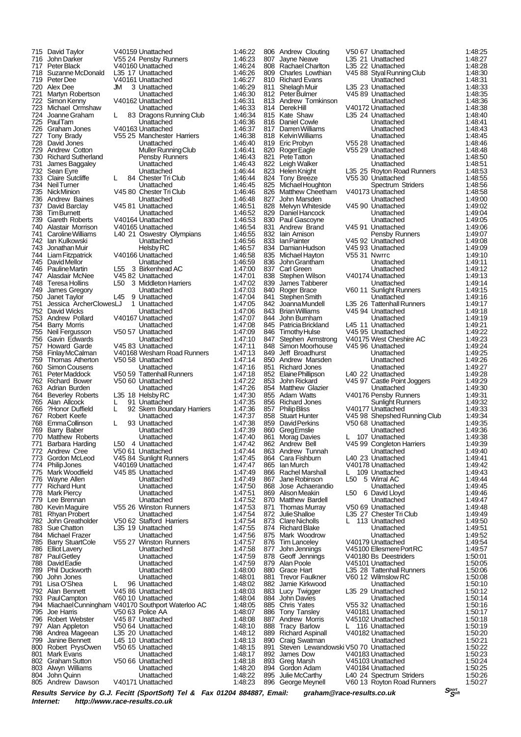715 David Taylor V40159 Unattached 1:46:22 716 John Darker V55 24 Pensby Runners 1:46:23 717 Peter Black V40160 Unattached 1:46:24 718 Suzanne McDonald L35 17 Unattached 1:46:26 719 Peter Dee V40161 Unattached 1:46:27 720 Alex Dee JM 3 Unattached 1:46:29 721 Martyn Robertson Unattached 1:46:30 722 Simon Kenny V40162 Unattached 1:46:31 723 Michael Ormshaw Unattached 1:46:33 724 Joanne Graham L 83 Dragons Running Club 1:46:34 725 Paul Tam Unattached 1:46:36 1.46:37<br>12.37 - 1.46:37 V40163 Unattached 1:46:37<br>1.46:38 - 1.46 727 Tony Brady V55 25 Manchester Harriers 1:46:38 728 David Jones Unattached 1:46:40 729 Andrew Cotton Muller Running Club 1:46:41 730 Richard Sutherland Pensby Runners 1:46:43<br>731 James Baggaley Bunattached 1:46:43 731 James Baggaley Unattached 1:46:43 732 Sean Eyre Christian Munattached 1:46:44<br>733 Claire Sutcliffe L 84 Chester Tri Club 1:46:44 733 Claire Sutcliffe L 84 Chester Tri Club 1:46:44 734 Neil Turner Unattached 1:46:45 735 Nick Minion V45 80 Chester Tri Club 1:46:46 736 Andrew Baines Unattached 1:46:48 737 David Barclay 1145 81 Unattached 1146:51<br>738 Tim Burnett 1146:52 Unattached 1146:52 738 Tim Burnett (1:46:52 Unattached 1:46:52<br>739 Gareth Roberts (1:40:164 Unattached 1:46:53 739 Gareth Roberts V40164 Unattached 1:46:53 740 Alastair Morrison V40165 Unattached 1:46:54 741 Caroline Williams L40 21 Oswestry Olympians 1:46:55 742 Ian Kulkowski Unattached 1:46:56 743 Jonathan Muir Helsby RC 1:46:57 744 Liam Fitzpatrick V40166 Unattached 1:46:58 745 David Mellor Unattached 1:46:59 746 Pauline Martin L55 3 Birkenhead AC<br>747 Alasdair McNee V45 82 Unattached 1.47 Alasdair McNee V45 82 Unattached 1.47:01<br>1.47:01<br>748 Teresa Hollins L50 3 Middleton Harriers 1.47:02 748 Teresa Hollins L50 3 Middleton Harriers 1:47:02 749 James Gregory Unattached 1:47:03 750 Janet Taylor L45 9 Unattached 1:47:04 751 Jessica ArcherClowesLJ 1 Unattached 1:47:05 David Wicks<br>Andrew Pollard 753 Andrew Pollard V40167 Unattached 1:47:07 754 Barry Morris Unattached 1:47:08 755 Neil Fergusson V50 57 Unattached 1:47:09<br>756 Gavin Edwards Unattached 1:47:09 756 Gavin Edwards Unattached 1:47:10 757 Howard Garde V45 83 Unattached 1:47:11 758 Finlay McCalman V40168 Wesham Road Runners 1:47:13 759 Thomas Atherton V50 58 Unattached 1:47:14 50 Simon Cousens Figure 1:47:16<br>
Peter Maddock Figure 1:47:18<br>
21:47:18 761 Peter Maddock V50 59 Tattenhall Runners 1:47:18 762 Richard Bower V50 60 Unattached 1:47:22<br>763 Adrian Burden Unattached 1:47:26 763 Adrian Burden Unattached 1:47:26 764 Beverley Roberts L35 18 Helsby RC 1:47:30 765 Alan Allcock L 91 Unattached 1:47:35 766 ?Honor Duffield L 92 Skem Boundary Harriers 1:47:36 767 Robert Keefe Unattached 1:47:37 768 Emma Collinson L 93 Unattached 1:47:38 769 Barry Baber Unattached 1:47:39 770 Matthew Roberts Unattached 1:47:40 771 Barbara Harding L50 4 Unattached 1:47:42 772 Andrew Cree  $\sim$  V50 61 Unattached 1:47:44<br>773 Gordon McLeod V45 84 Sunlight Runners 1:47:45 773 Gordon McLeod V45 84 Sunlight Runners 1:47:45 174 Dinip Jones V40169 Unattached 1:47:47<br>775 Mark Woodfield V45 85 Unattached 1:47:47 775 Mark Woodfield V45 85 Unattached 1:47:49 776 Wayne Allen Unattached 1:47:49 777 Richard Hunt Unattached 1:47:50 778 Mark Piercy Unattached 1:47:51 Lee Brennan 780 Kevin Maguire V55 26 Winston Runners 1:47:53 781 Rhyan Probert Unattached 1:47:54 782 John Greatholder V50 62 Stafford Harriers 1:47:54 783 Sue Chatton L35 19 Unattached 1:47:55 784 Michael Frazer Unattached 1:47:56 785 Barry StuartCole V55 27 Winston Runners 1:47:57<br>786 Elliot Lavery Constructure Unattached 1:47:58<br>787 Paul Getlev Christiached 1:47:59 Elliot Lavery 787 Paul Getley Unattached 1:47:59 788 David Eadie Unattached 1:47:59 789 Phil Duckworth Unattached 1:48:00 790 John Jones Unattached 1:48:01 791 Lisa O'Shea L 96 Unattached 1:48:02 792 Alan Bennett V45 86 Unattached 1:48:03 793 Paul Campton V60 10 Unattached 1:48:04<br>794 Miachael Cunningham V40170 Southport Waterloo AC 1:48:05 794 Miachael Cunningham V40170 Southport Waterloo AC 1:48:05 795 Joe Harris V50 63 Police AA 1:48:07 796 Robert Webster V45 87 Unattached 1:48:08 797 Alan Appleton V50 64 Unattached 1:48:10 798 Andrea Mageean L35 20 Unattached 1:48:12 799 Janine Bennett L45 10 Unattached 1:48:13 800 Robert PrysOwen V50 65 Unattached 1:48:15<br>Mark Evans Unattached 1:48:17 801 Mark Evans Unattached 1:48:17 802 Graham Sutton V50 66 Unattached 1:48:18 803 Alwyn Williams Unattached 1:48:20 804 John Quinn Unattached 1:48:22 V40171 Unattached 806 Andrew Clouting V50 67 Unattached 1:48:25 807 Jayne Neave L35 21 Unattached 1:48:27 808 Rachael Charlton L35 22 Unattached 1:48:28 809 Charles Lowthian V45 88 Styal Running Club 1:48:30<br>810 Richard Evans Unattached 1:48:31 Richard Evans<br>Shelagh Muir 811 Shelagh Muir L35 23 Unattached 1:48:33<br>812 Peter Bulmer V45 89 Unattached 1:48:35 812 Peter Bulmer V45 89 Unattached 1:48:35<br>813 Andrew Tomkinson Unattached 1:48:36 813 Andrew Tomkinson Unattached 1:48:36<br>814 DerekHill V40172 Unattached 1:48:38 814 Derek Hill V40172 Unattached 1:48:38 815 Kate Shaw L35 24 Unattached 1:48:40 816 Daniel Cowle Unattached 1:48:41<br>817 Darren Williams Unattached 1:48:43 817 Darren Williams Unattached 1:48:43 818 Kelvin Williams Unattached 1:48:45 819 Eric Probyn V55 28 Unattached 1:48:46 820 Roger Eagle V55 29 Unattached 1:48:48 821 Pete Tatton 1:00 = Unattached 1:48:50<br>822 Leigh Walker Unattached 1:48:50 822 Leigh Walker **Desity Local Leapen Brattached** 1:48:51<br>823 Helen Knight L35 25 Royton Road Runners 1:48:53 823 Helen Knight L35 25 Royton Road Runners 1:48:53 824 Tony Breeze V55 30 Unattached 1:48:55 825 Michael Houghton Spectrum Striders 1:48:56 826 Matthew Cheetham V40173 Unattached 1:48:58 827 John Marsden Unattached 1:49:00 828 Melvyn Whiteside V45 90 Unattached 1:49:02 829 Daniel Hancock Unattached 1:49:04 830 Paul Gascoyne Unattached 1:49:05 831 Andrew Brand V45 91 Unattached 1:49:06<br>832 Iain Amison Pensby Runners 1:49:07 832 Iain Arnison Pensby Runners 1:49:07<br>833 Ian Painter 1:49:07 V45 92 Unattached 1:49:08 833 Ian Painter V45 92 Unattached 1:49:08 834 Damian Hudson V45 93 Unattached 1:49:09<br>835 Michael Havton V55 31 Nwrrc 1:49:10 835 Michael Hayton V55 31 Nwrrc 1:49:10<br>836 John Grantham Unattached 1:49:11 836 John Grantham Unattached 1:49:11 837 Carl Green Unattached 1:49:12 838 Stephen Wilson V40174 Unattached 1:49:13<br>839 James Tabberer Unattached 1:49:14 839 James Tabberer Unattached 1:49:14<br>840 Roger Brace V60 11 Sunlight Runners 1:49:15 840 Roger Brace V60 11 Sunlight Runners 1:49:15 841 Stephen Smith Chattached 1:49:16<br>842 Joanna Mundell L35 26 Tattenhall Runners 1:49:17 842 Joanna Mundell L35 26 Tattenhall Runners 1:49:17 843 Brian Williams V45 94 Unattached<br>844 John Burnham Linattached 844 John Burnham Unattached 1:49:19 845 Patricia Brickland L45 11 Unattached 1:49:21 846 Timothy Hulse V45 95 Unattached 1:49:22<br>847 Stephen Armstrong V40175 West Cheshire AC 1:49:23 847 Stephen Armstrong V40175 West Cheshire AC 1:49:23<br>848 Simon Moorhouse V45 96 Unattached 1:49:24 848 Simon Moorhouse V45 96 Unattached 1:49:24 849 Jeff Broadhurst Unattached 1:49:25 850 Andrew Marsden Unattached 1:49:26 851 Richard Jones Unattached 1:49:27 852 Elaine Phillipson L40 22 Unattached 1:49:28 853 John Rickard V45 97 Castle Point Joggers 1:49:29<br>854 Matthew Glazier Unattached 1:49:30 854 Matthew Glazier Unattached 1:49:30 855 Adam Watts V40176 Pensby Runners 1:49:31 856 Richard Jones Sunlight Runners 1:49:32 857 Philip Bliss V40177 Unattached 1:49:33<br>858 Stuart Hunter V45.98 Shepshed Running Club 1:49:34 858 Stuart Hunter V45 98 Shepshed Running Club 1:49:34 859 David Perkins V50 68 Unattached 1:49:35<br>860 GregEmslie Mattached 1:49:35 860 Greg Emslie Unattached 1:49:36 861 Morag Davies L 107 Unattached 1:49:38<br>862 Andrew Bell V45.99 Congleton Harriers 1:49:39 862 Andrew Bell V45 99 Congleton Harriers 1:49:39 862 Andrew Bell 2001<br>863 Andrew Tunnah Unattached 1:49:39<br>863 Andrew Tunnah Unattached 1:49:40<br>864 Cara Fishburn 140 23 Unattached 1:49:41 864 Cara Fishburn L40 23 Unattached 1:49:41 865 Ian Murch V40178 Unattached 1:49:42 866 Rachel Marshall L 109 Unattached 1:49:43 867 Jane Robinson L50 5 Wirral AC 1:49:44 868 Jose Achaerandio Unattached 1:49:45 869 Alison Meakin L50 6 David Lloyd 1:49:46<br>870 Matthew Bardell L50 Contrached 1:49:47 870 Matthew Bardell<br>871 Thomas Murray 871 Thomas Murray V50 69 Unattached 1:49:48 872 Julie Shalloe L35 27 Chester Tri Club 1:49:49 873 Clare Nicholls L 113 Unattached 1:49:50<br>874 Richard Blake Unattached 1:49:51 874 Richard Blake Unattached 1:49:51 875 Mark Woodrow Unattached 1:49:52 876 Tim Lanceley 1140179 Unattached 1:49:54<br>877 John Jennings V45100 Ellesmere Port RC 1:49:57 877 John Jennings V45100 Ellesmere Port RC 1:49:57<br>878 Geoff Jennings V40180 Bs Deestriders 1:50:01 877 John Jennings (1997)<br>878 Geoff Jennings (1991)<br>878 Geoff Jennings (1991)<br>879 Alan Poole (1991)<br>879 Alan Poole (1991) 879 Alan Poole V45101 Unattached 1:50:05 880 Grace Hart L35 28 Tattenhall Runners 1:50:06 881 Trevor Faulkner V60 12 Wilmslow RC 1:50:08 882 Jamie Kirkwood Unattached 1:50:10 883 Lucy Twigger L35 29 Unattached 1:50:12 884 John Davies Unattached 1:50:14 885 Chris Yates V55 32 Unattached 1:50:16 886 Tony Tansley V40181 Unattached 1:50:17 887 Andrew Morris V45102 Unattached 1:50:18 Tracy Barlow L 116 Unattached<br>Richard Aspinall V40182 Unattached 889 Richard Aspinall V40182 Unattached 1:50:20 890 Craig Swatman Unattached 1:50:21 891 Steven Lewandowski V50 70 Unattached 1:50:22<br>892 James Dow V40183 Unattached 1:50:22 892 James Dow  $V40183$  Unattached 1:50:23<br>893 Greg Marsh  $V45103$  Unattached 1:50:24 893 Greg Marsh V45103 Unattached 1:50:24 894 Gordon Adam V40184 Unattached 1:50:25 895 Julie McCarthy L40 24 Spectrum Striders 1:50:26<br>896 George Meynell V60 13 Royton Road Runners 1:50:27 V60 13 Royton Road Runners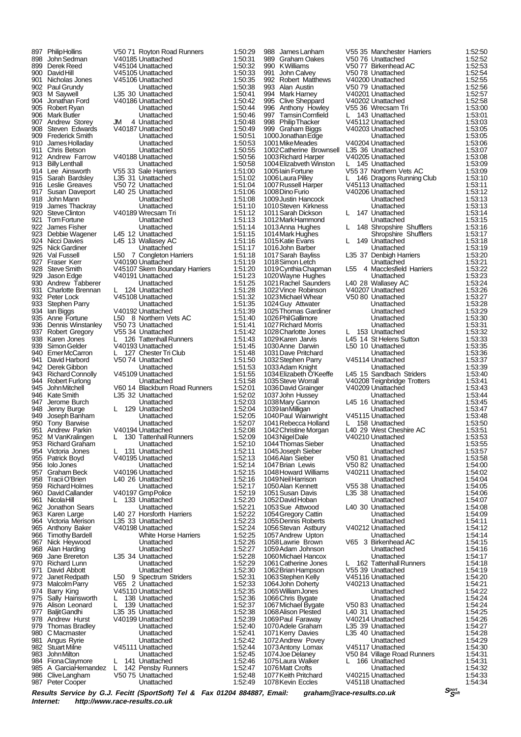Alan Harding<br>Jane Brereton 985 A GarciaHernandez L 142 Pensby Runners 1:52:47 986 Clive Langham V50 75 Unattached 1:52:48<br>987 Peter Cooper Construction Unattached 1:52:49 Peter Cooper

897 Philip Hollins V50 71 Royton Road Runners 1:50:29<br>898 John Sedman V40185 Unattached 1:50:31 898 John Sedman V40185 Unattached 1:50:31 899 Derek Reed V45104 Unattached 1:50:32 900 David Hill V45105 Unattached 1:50:33 901 Nicholas Jones V45106 Unattached 1:50:35<br>902 Paul Grundy Lunattached 1:50:38 902 Paul Grundy Unattached 1:50:38 903 M Saywell L35 30 Unattached 1:50:41<br>904 Jonathan Ford V40186 Unattached 1:50:42 904 Jonathan Ford V40186 Unattached 1:50:42 905 Robert Ryan Unattached 1:50:44 906 Mark Butler Unattached 1:50:46 907 Andrew Storey JM 4 Unattached 1:50:48 908 Steven Edwards V40187 Unattached 1:50:49 909 Frederick Smith Unattached 1:50:51 910 James Holladay Unattached 1:50:53 911 Chris Betson Unattached 1:50:55 912 Andrew Farrow V40188 Unattached 1:50:56<br>913 Billy Lenthall Billy Lenthall Unattached 1:50:58 913 Billy Lenthall **Diattached** 1:50:58<br>914 Lee Ainsworth V55 33 Sale Harriers 1:51:00 914 Lee Ainsworth V55 33 Sale Harriers 1:51:00<br>915 Sarah Bardsley 1:53 1 Unattached 1:51:00 915 Sarah Bardsley 1.35 31 Unattached 1:51:02<br>916 Leslie Greaves 1.50 72 Unattached 1:51:04 1:51:04 916 Leslie Greaves V50 72 Unattached 1:51:04 ert Susan Daveport 140 25 Unattached 1:51:06<br>
918 John Mann 1:51:06<br>
918 John Mann 1:51:08 918 John Mann Unattached 1:51:08 919 James Thackray **Unattached** 1:51:10<br>920 Steve Clinton **1:51:10**<br>920 Steve Clinton **1:51:12** 920 Steve Clinton V40189 Wrecsam Tri 1:51:12<br>921 Tom Fortune Unattached 1:51:13 921 Tom Fortune Unattached 1:51:13<br>922 James Fisher Unattached 1:51:14 922 James Fisher Unattached 1:51:14 923 Debbie Wagener L45 12 Unattached 1:51:15<br>924 Nicci Davies L45 13 Wallasey AC 1:51:16 924 Nicci Davies Late 1.51:16<br>925 Nick Gardiner Late Unattached 1.51:17 925 Nick Gardiner Unattached 1:51:17 926 Val Fussell L50 7 Congleton Harriers 1:51:18<br>927 Fraser Kerr 1:51:19 V40190 Unattached 1:51:19 927 Fraser Kerr V40190 Unattached 1:51:19<br>928 Steve Smith V45107 Skem Boundary Harriers 1:51:20<br>929 Jason Edge V40191 Unattached 1:51:23 928 Steve Smith V45107 Skem Boundary Harriers<br>929 Jason Edge V40191 Unattached 929 Jason Edge V40191 Unattached 1:51:23 930 Andrew Tabberer Unattached 1:51:25 extending U. 124 Unattached 1:51:28<br>
932 Peter Lock V45108 Unattached 1:51:32 932 Peter Lock V45108 Unattached 1:51:32 933 Stephen Parry **1:51:35**<br>934 Ian Biggs 1:51:39 V40192 Unattached 1:51:39<br>935 Anne Fortune 1.50 8 Northern Vets AC 1:51:40 V40192 Unattached 1:51:39<br>1.50 B. Northern Vets AC 1:51:40 er Portune L50 8 Northern Vets AC 1:51:40<br>936 Dennis Winstanley V50 73 Unattached 1:51:41 936 Dennis Winstanley V50 73 Unattached 1:51:41<br>937 Robert Gregory V55 34 Unattached 1:51:42 937 Robert Gregory  $\overline{0.938}$  W55 34 Unattached 1:51:42<br>938 Karen Jones L 126 Tattenhall Runners 1:51:43 938 Karen Jones L 126 Tattenhall Runners 1:51:43<br>939 Simon Gelder V40193 Unattached 1:51:45 939 Simon Gelder V40193 Unattached 1:51:45<br>940 Emer McCarron L 127 Chester Tri Club 1:51:48 940 Emer McCarron L 127 Chester Tri Club 1:51:48 941 David Harbord V50 74 Unattached 1:51:50 942 Derek Gibbon **Unattached** 1:51:53<br>943 Richard Connolly V45109 Unattached 1:51:55 943 Richard Connolly V45109 Unattached 1:51:55<br>944 Robert Furlong Unattached 1:51:58 944 Robert Furlong **Carl Library Constructed 1:51:58**<br>945 John Mitchell V60 14 Blackburn Road Runners 1:52:01 945 John Mitchell V60 14 Blackburn Road Runners 1:52:01<br>946 Kate Smith L35 32 Unattached 1:52:02 946 Kate Smith L35 32 Unattached 1:52:02 947 Jerome Burch Unattached 1:52:03 948 Jenny Burge L 129 Unattached 1:52:04 949 Joseph Banham Unattached 1:52:05 950 Tony Barwise Unattached 1:52:07 951 Andrew Parkin V40194 Unattached 1:52:08<br>952 M VanKralingen L 130 Tattenhall Runners 1:52:09 952 M VanKralingen L 130 Tattenhall Runners 1:52:09 953 Richard Graham Unattached 1:52:10<br>954 Victoria Jones L 131 Unattached 1:52:11 954 Victoria Jones L 131 Unattached 1:52:11<br>955 Patrick Boyd V40195 Unattached 1:52:13 955 Patrick Boyd V40195 Unattached 1:52:13<br>956 Iolo Jones Unattached 1:52:14 er Unattached 1:52:14<br>
957 Graham Beck V40196 Unattached 1:52:15<br>
1:52:15 957 Graham Beck V40196 Unattached 1:52:15<br>958 Tracii O'Brien 1.40 26 Unattached 1:52:16 958 Tracii O'Brien L40 26 Unattached 1:52:16 959 Richard Holmes Unattached 1:52:17 960 David Callander V40197 Gmp Police 1:52:19<br>961 Nicola Hill L 133 Unattached 1:52:20 133 Unattached 962 Jonathon Sears Unattached 1:52:21 963 Karen Large 1.40 27 Horsforth Harriers 1:52:22<br>964 Victoria Merison 1.35 33 Unattached 1:52:23 964 Victoria Merison L35 33 Unattached 1:52:23 965 Anthony Baker V40198 Unattached 1:52:24<br>966 Timothy Bardell White Horse Harriers 1:52:25 966 Timothy Bardell White Horse Harriers 1:52:25 967 Nick Heywood Unattached 1:52:26 969 Jane Brereton L35 34 Unattached 1:52:28 970 Richard Lunn Unattached 1:52:29 971 David Abbott **1:52:30**<br>972 Janet Redpath 1.50 9 Spectrum Striders 1:52:31 972 Janet Redpath L50 9 Spectrum Striders 1:52:31<br>973 Malcolm Parry V65 2 Unattached 1:52:33 973 Malcolm Parry V65 2 Unattached 1:52:33<br>974 Barry King V45110 Unattached 1:52:35<br>975 Sally Hainsworth L 138 Unattached 1:52:36 974 Barry King  $\frac{1}{52.35}$  V45110 Unattached 1:52:35<br>975 Sally Hainsworth 1 138 Unattached 1:52:36 975 Sally Hainsworth L 138 Unattached 1:52:36 Alison Leonard L 139 Unattached 1:52:37<br>Baliit Gandhi L35 35 Unattached 1:52:38 977 Baljit Gandhi L35 35 Unattached 1:52:38<br>978 Andrew Hurst V40199 Unattached 1:52:39 978 Andrew Hurst V40199 Unattached 1:52:39<br>979 Thomas Bradley Unattached 1:52:39<br>979 Thomas Bradley Unattached 1:52:40 1:52:40<br>
979 Thomas Bradley Unattached 1:52:40<br>
Unattached 1:52:41<br>
1:52:41 980 C Macmaster (1:52:41 Unattached 1:52:41 Unattached 1:52:41 1:52:41 Unattached 1:52:41 1:52:42 981 Angus Ryrie Unattached 1:52:42 982 Stuart Milne V45111 Unattached 1:52:44 983 John Milton **Diattached** 1:52:45<br>984 Fiona Claymore 1:52:46 L 141 Unattached 1:52:46 er Fiona Claymore L 141 Unattached 1:52:46<br>985 A Garcia Hemandez L 142 Penshy Runners 1:52:47

1025 Thomas Gardiner 1052 David Hoban 1070 Adele Graham<br>1071 Kerry Davies 1078 Kevin Eccles

988 James Lanham V55 35 Manchester Harriers 1:52:50<br>989 Graham Oakes V50 76 Unattached 1:52:52 989 Graham Oakes V50 76 Unattached 1:52:52 990 K Williams V50 77 Birkenhead AC 1:52:53 991 John Calvey V50 78 Unattached 1:52:54<br>992 Robert Matthews V40200 Unattached 1:52:55 992 Robert Matthews V40200 Unattached 1:52:55 993 Alan Austin V50 79 Unattached 1:52:56 994 Mark Harney V40201 Unattached 1:52:57<br>995 Clive Sheppard V40202 Unattached 1:52:57<br>996 Anthony Howley V55 36 Wrecsam Tri 1:53:00 995 Clive Sheppard V40202 Unattached 1:52:58 996 Anthony Howley V55 36 Wrecsam Tri 1:53:00 997 Tamsin Cornfield L 143 Unattached 1:53:01 998 V45112 Unattached 1:53:03<br>1:53:05 Philip Thacker V40203 Unattached 1:53:05 999 Graham Biggs V40203 Unattached 1:53:05 1000 Jonathan Edge 111 Unattached 1:53:05<br>
1001 Mike Meades 1/40204 Unattached 1:53:06 V40204 Unattached 1:53:06<br>
L35 36 Unattached 1:53:07 1002Catherine Brownsell L35 36 Unattached 1:53:07 1003 Richard Harper V40205 Unattached 1:53:08<br>1003 Richard Harper V40205 Unattached 1:53:08<br>1004 Elizabveth Winston L 145 Unattached 1:53:09 1004Elizabveth Winston L 145 Unattached 1:53:09 1005 Lain Fortune V55 37 Northern Vets AC 1:53:09<br>1005 Laura Pilley L 146 Dragons Running Club 1:53:10 1.53:10<br>L 146 Dragons Running Club 1:53:10<br>V45113 Unattached 1:53:11 1007 Russell Harper **V45113 Unattached 1:53:11**<br>1007 Russell Harper V45113 Unattached 1:53:12<br>1:53:12 1008 Dino Furio V40206 Unattached 1:53:12 1:53:12 V40206 Unattached 1:53:12<br>1:53:13 Unattached 1:53:13 1009 Justin Hancock Unattached 1:53:13<br>1009 Justin Hancock Unattached 1:53:13<br>1010 Steven Kirkness Unattached 1:53:13 1010Steven Kirkness Unattached 1:53:13 1011Sarah Dickson L 147 Unattached 1:53:14 1012 Mark Hammond Unattached 1:53:15<br>1013 Anna Hughes L 148 Shropshire Shufflers 1:53:16<br>1014 Mark Hughes Shropshire Shufflers 1:53:17 1013Anna Hughes L 148 Shropshire Shufflers 1:53:16 1014 Mark Hughes Shropshire Shufflers 1:53:17 1015Katie Evans L 149 Unattached 1:53:18 1016John Barber Unattached 1:53:19 1.53:20 L35 37 Denbigh Harriers 1:53:20<br>1.53:21 Unattached 1:53:21 1018 Simon Letch **1:53:21**<br>1019 Cynthia Chapman L55 4 Macclesfield Harriers 1:53:22<br>1020 Wayne Hughes Unattached 1:53:23 1019Cynthia Chapman L55 4 Macclesfield Harriers 1:53:22 1020 Wayne Hughes **Unattached** 1:53:23 1021 Rachel Saunders L40 28 Wallasey AC 1:53:24<br>1022 Vince Robinson V40207 Unattached 1:53:26 1022Vince Robinson V40207 Unattached 1:53:26 1023Michael Whear V50 80 Unattached 1:53:27 1024Guy Attwater Unattached 1:53:28 1026 Phil Gallimore Unattached 1:53:30<br>1027 Richard Morris Unattached 1:53:30 1027Richard Morris Unattached 1:53:31 1028Charlotte Jones L 153 Unattached 1:53:32 1029 Karen Jarvis **1029 Karen Jarvis 11:53:33**<br>1030 Anne Darwin 1:53:33<br>1030 Anne Darwin 1:50 10 Unattached 1:53:35 1.50 10 Unattached 1:53:35<br>Unattached 1:53:36 1031Dave Pritchard Unattached 1:53:36 1032 Stephen Parry V45114 Unattached 1:53:37<br>1033 Adam Knight (1033 Unattached 1:53:39 1033 Adam Knight Unattached 1:53:39<br>1034 Elizabeth O'Keeffe L45 15 Sandbach Striders 1:53:40 1034Elizabeth O'Keeffe L45 15 Sandbach Striders 1:53:40 1035Steve Worrall V40208 Teignbridge Trotters 1:53:41 1036 David Grainger (140209 Unattached 1:53:43<br>1037 John Hussey (1.53:43 Unattached 1:53:44 1037 John Hussey (1.53:44 1037John Hussey Unattached 1:53:44 L45 16 Unattached 1:53:45<br>
Unattached 1:53:47 1039 Ian Milligan Christian Library Christian Unattached 1:53:47<br>1040 Paul Wainwright V45115 Unattached 1:53:48 V45115 Unattached 1:53:48<br>
L 158 Unattached 1:53:50 er 1.53:50 101 158 Unattached 1.53:50<br>1042 Christine Morgan L40 29 West Cheshire AC 1.53:51 1042 Christine Morgan L40 29 West Cheshire AC 1:53:51<br>1043 Nigel Dale 1:53:51 V40210 Unattached 1:53:53 1043Nigel Dale V40210 Unattached 1:53:53 1044Thomas Sieber Unattached 1:53:55 1045Joseph Sieber Unattached 1:53:57 1046Alan Sieber V50 81 Unattached 1:53:58 1047Brian Lewis V50 82 Unattached 1:54:00 1048Howard Williams V40211 Unattached 1:54:02 1049Neil Harrison Unattached 1:54:04 1050Alan Kennett V55 38 Unattached 1:54:05 1051Susan Davis L35 38 Unattached 1:54:06 1053Sue Attwood L40 30 Unattached 1:54:08 1054 Gregory Cattin **1989 Cattin Unattached** 1:54:09<br>1055 Dennis Roberts **1:54:11** 1055Dennis Roberts Unattached 1:54:11 1056 Stevan Astbury 140212 Unattached 1:54:12<br>1057 Andrew Upton 1:54:14 Unattached 1:54:14 1057Andrew Upton Unattached 1:54:14 V65 3 Birkenhead AC 1:54:15<br>Unattached 1:54:16 1059Adam Johnson Unattached 1:54:16 1060 Michael Hancox Unattached 1:54:17 1061 Catherine Jones L 162 Tattenhall Runners 1:54:18<br>1062 Brian Hampson V55 39 Unattached 1:54:19 1062 Brian Hampson V55 39 Unattached 1:54:19<br>1063 Stephen Kelly V45116 Unattached 1:54:20 1063Stephen Kelly V45116 Unattached 1:54:20 V40213 Unattached 1:54:21<br>Unattached 1:54:22 1065William Jones Unattached 1:54:22 1066Chris Bygate Unattached 1:54:24 1067Michael Bygate V50 83 Unattached 1:54:24 1068 Alison Plested L40 31 Unattached 1:54:25<br>1069 Paul Faraway V40214 Unattached 1:54:26 1069Paul Faraway V40214 Unattached 1:54:26 1:54:28 L35 40 Unattached 1:54:28<br>1:54:29 I Inattached 1:54:29 1072 Andrew Povey **1:54:29**<br>1073 Antony Lomax V45117 Unattached 1:54:30 1073 Antony Lomax V45117 Unattached 1:54:30<br>1074 Joe Delanev V50 84 Village Road Runners 1:54:31 1074Joe Delaney V50 84 Village Road Runners 1:54:31 1075 Laura Walker L 166 Unattached 1:54:31 1076 Matt Crofts **Cross Contract Library Cross Cross Cross Cross Cross Cross Cross Cross Cross Cross Cross Cro**<br>1077 Keith Pritchard V40215 Unattached 1:54:33 1077Keith Pritchard V40215 Unattached 1:54:33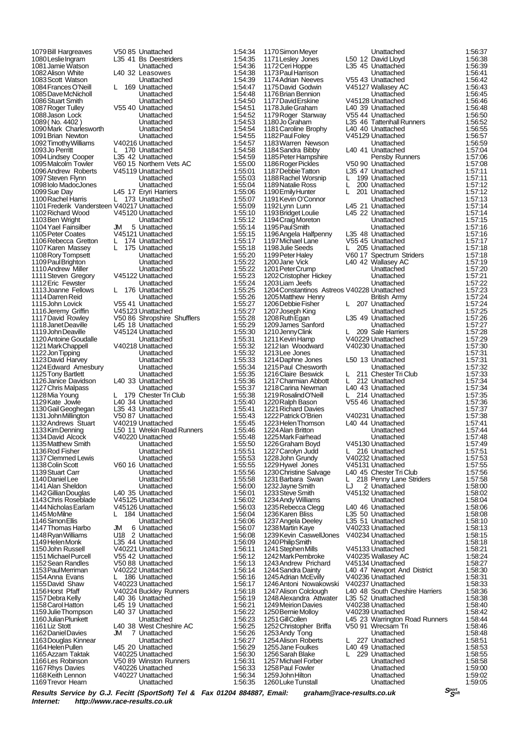1104 Yael Fainsilber<br>1105 Peter Coates 1143 Chris Roseblade 1169Trevor Hearn

1079Bill Hargreaves V50 85 Unattached 1:54:34<br>1080 Leslie Ingram L35 41 Bs Deestriders 1:54:35 1080 Leslie Ingram L35 41 Bs Deestriders 1:54:35 1081Jamie Watson Unattached 1:54:36 1082 Alison White Lating 22 Leasowes 1:54:38<br>1083 Scott Watson Lating Unattached 1:54:39 1083 Scott Watson **Unattached** 1:54:39 1084 Frances O'Neill L 169 Unattached 1:54:47 1085 Dave McNicholl **1986** Dave McNicholl **1:54:48**<br>1086 Stuart Smith Unattached 1:54:50 1086Stuart Smith Unattached 1:54:50 V55 40 Unattached 1:54:51<br>Unattached 1:54:52 1088Jason Lock Unattached 1:54:52 1089 (No. 4402) Chattached 1:54:53 1090Mark Charlesworth Unattached 1:54:54 1091 Brian Newton Unattached 1:54:55<br>1092 Timothy Williams V40216 Unattached 1:54:57 1092 Timothy Williams V40216 Unattached 1:54:57<br>1093 Jo Perritt L 170 Unattached 1:54:58 1.54:58 L35 42 Unattached 1:54:58<br>1.54:59 1.54:59 1.54:59 1094 Lindsey Cooper L35 42 Unattached 1:54:59<br>1095 Malcolm Towler V60 15 Northern Vets AC 1:55:00 1095Malcolm Towler V60 15 Northern Vets AC 1:55:00 1096 Andrew Roberts V45119 Unattached 1:55:01 1097 Steven Flynn Unattached 1:55:03<br>
1097 Steven Flynn Unattached 1:55:03<br>
1098 Iolo MadocJones Unattached 1:55:04 1098Iolo MadocJones Unattached 1:55:04 1099Sue Day L45 17 Eryri Harriers 1:55:06 1100 Rachel Harris L 173 Unattached 1:55:07<br>1101 Frederik Vandersteen V40217 Unattached 1:55:09 1101Frederik Vandersteen V40217 Unattached 1:55:09 1102 Richard Wood V45120 Unattached 1:55:10 1103Ben Wright Unattached 1:55:12 1105<br>1155:15 Peter Coates V45121 Unattached 1:55:15<br>1155:17 1:55:17 Peter Coates V451 1106Rebecca Gretton L 174 Unattached 1:55:17<br>1107Karen Massey L 175 Unattached 1:55:18 1107Karen Massey L 175 Unattached 1:55:18 1108 Rory Tompsett **1:55:20**<br>1109 Paul Brighton Unattached 1:55:22<br>1:55:22 1109 Paul Brighton Unattached 1:55:22<br>
1110 Andrew Miller Unattached 1:55:22<br>
1111 Steven Gregory V45122 Unattached 1:55:23 1110Andrew Miller Unattached 1:55:22 1111 Steven Gregory V45122 Unattached 1:55:23 1112Eric Fewster 1112<br>
1112Eric Fewster Unattached 1:55:24<br>
1113Joanne Fellows L 176 Unattached 1:55:25 1113Joanne Fellows L 176 Unattached 1:55:25<br>1114Darren Reid Communication Unattached 1:55:26 1114 Darren Reid **1:55:26**<br>1115 John Lovick V55 41 Unattached 1:55:27<br>1:55:27 1115John Lovick V55 41 Unattached 1:55:27<br>1116Jeremy Griffin V45123 Unattached 1:55:27<br>1117 David Rowley V50 86 Shropshire Shufflers 1:55:28 1116123 Unattached 1:55:27<br>1150 86 Shropshire Shufflers 11:55:28 1117David Rowley V50 86 Shropshire Shufflers 1:55:28 1118Janet Deaville L45 18 Unattached 1:55:29 1119John Deaville V45124 Unattached 1:55:30 1120 Antoine Goudalle 11971 Unattached 1120 Antoine Goudalle 1135:31<br>1121 Mark Chappell 1121 Unattached 1:55:32 V40218 Unattached 1:55:32<br>Unattached 1:55:32 1122Jon Tipping Unattached 1:55:32 1123David Harvey Chattached 1:55:33 1124Edward Amesbury Unattached 1:55:34 1125Tony Bartlett (1:55:35)<br>1126 Janice Davidson 140 33 Unattached 1:55:36 1126 Janice Davidson Latinus Latinus (126 Janice Davidson Latinus 13536<br>1127 Chris Malpass Mattached 1:55:36 1127 Chris Malpass 2002 Unattached 1:55:37<br>1128 Malpass 1128 Unattached 1:55:37<br>1128 Mia Young L 179 Chester Tri Club 1128Mia Young Ltd 179 Chester Tri Club 1:55:38<br>1129Kate Jowle Ltd 0:34 Linattached 1:55:40 1129Kate Jowle L40 34 Unattached 1:55:40 1135 43 Unattached 1:55:41<br>1155:41 V50 87 Unattached 1:55:43 1131 John Millington V50 87 Unattached 1:55:43 1132Andrews Stuart V40219 Unattached 1:55:45 1133 Kim Denning **112 L50 11 Wrekin Road Runners** 1:55:46<br>1134 David Alcock 1140220 Unattached 1:55:46 V40220 Unattached 1:55:48<br>Unattached 1:55:50 1135 Matthew Smith **Contract Contract List Unattached** 1:55:50<br>1136 Rod Fisher Unattached 1:55:51 1136Rod Fisher Unattached 1:55:51 1137 Clemmed Lewis Clearence Unattached 1:55:53 1138 Colin Scott **V60 16** Unattached 1:55:55 1139Stuart Carr Unattached 1:55:56 1140Daniel Lee Unattached 1:55:58 1141Alan Sheldon Unattached 1:56:00 1142Gillian Douglas L40 35 Unattached 1:56:01 1144Nicholas Earlam V45126 Unattached 1:56:03 1156:04<br>1156:04 Unattached 1:56:06 1146 Simon Ellis Corresponding to the Unattached 1:56:06<br>
1147 Thomas Harbo JM 6 Unattached 1:56:07<br>
1148 Ryan Williams U18 2 Unattached 1:56:08 1147Thomas Harbo JM 6 Unattached 1:56:07 1148 Ryan Williams Utb 2 Unattached 1:56:08<br>1149 Helen Monk L35 44 Unattached 1:56:09 1149Helen Monk L35 44 Unattached 1:56:09 1150John Russell V40221 Unattached 1:56:11 1151 Michael Purcell V55 42 Unattached 1:56:12 1152Sean Randles V50 88 Unattached 1:56:13 1153Paul Merriman V40222 Unattached 1:56:14 1154 Anna Evans L 186 Unattached 1:56:16<br>1155 David Shaw V40223 Unattached 1:56:17 1155David Shaw 1:56:17<br>1156Horst Pfaff 11 116224 Buckley Runners 1:56:18 1156Horst Pfaff V40224 Buckley Runners 1:56:18 1157 Debra Kelly Lating Structured Lating Lating Care (1:56:19<br>1158 Carol Hatton Lating Lating Lating Lating Lating Care (1:56:21 1.56.21<br>140.37 Unattached 1:56:21<br>1:56:22 1159 Julie Thompson L40 37 Unattached 1:56:22<br>1160 Julian Plunkett Christian Unattached 1:56:23 1160Julian Plunkett Unattached 1:56:23 1161 L40 38 West Cheshire AC 1:56:25<br>JM 7 Unattached 1:56:26 1162Daniel Davies JM 7 Unattached 1:56:26 1163Douglas Kinnear Unattached 1:56:27 1164Helen Pullen L45 20 Unattached 1:56:29 1165Azzam Taktak V40225 Unattached 1:56:30 1166Les Robinson V50 89 Winston Runners 1:56:31 1167Rhys Davies 1168226 Unattached 1:56:33<br>1168 Keith Lennon 1168227 Unattached 1:56:34 V40227 Unattached 1:56:34<br>Unattached 1:56:35

1170 Simon Meyer **1:56:37**<br>1171 Lesley Jones **1.56 12 David Lloyd** 1:56:38 11712 David Lloyd 11711156:38<br>11711156:39 L35 L35 L35 L35 L35 L36:39 1171 Chemotrovicus († 1171 Lesley Jones 1171 Lesley Jones 1171 Lesley Jones 1172 David Lloyd<br>1172 Ceri Hoppe 1173 1186:39 1173 Paul Harrison 1173 Paul Harrison 1173 Paul Harrison 1173 Paul Harrison 1173Paul Harrison Unattached 1:56:41 1174 Adrian Neeves V55 43 Unattached 1:56:42 1175David Godwin V45127 Wallasey AC 1:56:43 1176 Brian Bennion 1176 Brian Bennion<br>
1176 Brian Bennion 1166:45<br>
1177 David Erskine V45128 Unattached 1:56:46 1177 David Erskine V45128 Unattached 1:56:46<br>1178 Julie Graham L40 39 Unattached 1:56:48 1178 L40 39 Unattached 11786:48<br>1178 V55 44 Unattached 1176:50 1179 Roger Stanway 1179 Roger Stanway 1:56:50<br>1180 Jo Graham 1:56:52 1:56:52 1180Jo Graham L35 46 Tattenhall Runners 1:56:52 1181 Caroline Brophy L40 40 Unattached 1:56:55 1182Paul Foley V45129 Unattached 1:56:57 1183Warren Newson Unattached 1:56:59 1184 Sandra Bibby Lating 1.57:04<br>
1185 Peter Hampshire 1.57:04 Pensby Runners 1.57:06 1185 Peter Hampshire **Provident Construction Pensby Runners** 1:57:06<br>1186 Roger Pickles **1:57:06** V50 90 Unattached 1:57:08 1186Roger Pickles V50 90 Unattached 1:57:08 1187Debbie Tatton L35 47 Unattached 1:57:11 1188 Rachel Worsnip Latin 199 Unattached 1:57:11<br>1189 Natalie Ross Latin 200 Unattached 1:57:12 1189Natalie Ross L 200 Unattached 1:57:12<br>1190 Emily Hunter L 201 Unattached 1:57:12 1190 Emily Hunter L 201 Unattached 1:57:12<br>1191 Kevin O'Connor L 201 Unattached 1:57:13 1191 Kevin O'Connor **Carl Library Connor Connor Unattached** 1:57:13<br>1192 Lynn Lunn Lunn L45 21 Unattached 1:57:14 1192Lynn Lunn L45 21 Unattached 1:57:14 1193Bridget Loulie L45 22 Unattached 1:57:14 1194 Craig Moreton **1:57:15**<br>1195 Paul Smith Unattached 1:57:16<br>1196 Angela Halfpenny L35 48 Unattached 1:57:16 1195 Paul Smith Unattached<br>
1196 Angela Halfpenny L35 48 Unattached 1196Angela Halfpenny L35 48 Unattached 1:57:16 1197Michael Lane V55 45 Unattached 1:57:17 1198 Julie Seeds L 205 Unattached 1:57:18 1199 Peter Haley **V60 17** Spectrum Striders 1:57:18 1200Jane Vick L40 42 Wallasey AC 1:57:19<br>
1201 Peter Crump L40 42 Wallasey AC 1:57:19<br>
1202 Cristopher Hickey Linattached 1:57:20 1201 Peter Crump Chattached 1:57:20 1202Cristopher Hickey Unattached 1:57:21 1203 Liam Jeefs Unattached 1:57:22<br>1203 Liam Jeefs Unattached 1:57:22<br>1204 Constantinos Astreos V40228 Unattached 1:57:23 1204 Constantinos Astreos V40228 Unattached 1:57:23<br>1205 Matthew Henry 1:57:24 British Army 1:57:24 1205Matthew Henry British Army 1:57:24 1206Debbie Fisher L 207 Unattached 1:57:24 1207 Joseph King **Canadia Communist Contract Unattached** 1:57:25 1208 Ruth Egan L35 49 Unattached 1:57:26 1209James Sanford **Canadia 1:57:27**<br>1210JennyClink L 209 Sale Harriers 1:57:28 1210 Jenny Clink L 209 Sale Harriers 1:57:28<br>1211 Kevin Hamp V40229 Unattached 1:57:29 1211Kevin Hamp V40229 Unattached 1:57:29 1212Ian Woodward V40230 Unattached 1:57:30 1213Lee Jones Unattached 1:57:31 1214Daphne Jones L50 13 Unattached 1:57:31<br>1215Paul Chesworth Load Unattached 1:57:32 1215 Paul Chesworth Contract Chesworth Unattached 1:57:32<br>
1216 Claire Beswick L 211 Chester Tri Club 1:57:32<br>
1217 Charmian Abbott L 212 Unattached 1:57:34 1216 Claire Beswick L 211 Chester Tri 1217 Charmian Abbott L 212 Unattached 1:57:34<br>1217 Charmian Abbott L 212 Unattached 1:57:34<br>1218 Carina Newman L40 43 Unattached 1:57:34 1218 Carina Newman L40 43 Unattached 1:57:34<br>1219 Rosalind O'Neill L 214 Unattached 1:57:35 1219Rosalind O'Neill L 214 Unattached 1:57:35 12214 Unattached 1:57:35<br>V55 46 Unattached 1:57:35<br>Unattached 1:57:36<br>1:57:37 1221 Richard Davies **1986 - Unattached 1:57:37<br>1222 Patrick O'Brien 1:57:37<br>1222 Patrick O'Brien 1:57:38** 1222 Patrick O'Brien V40231 Unattached 1:57:38<br>
1223 Helen Thomson L40 44 Unattached 1:57:41 1223 Helen Thomson Lao 44 Unattached 1:57:41<br>1224 Alan Britton Carl Lao Unattached 1:57:44 1224 Alan Britton Unattached 1:57:44<br>1225 Mark Fairhead Unattached 1:57:44<br>1225 Mark Fairhead Unattached 1:57:48 1225Mark Fairhead Unattached 1:57:48 V45130 Unattached 1:57:49<br>C 216 Unattached 1:57:51 1227Carolyn Judd L 216 Unattached 1:57:51 1228 John Grundy V40232 Unattached 1:57:53 1229Hywel Jones V45131 Unattached 1:57:55 1230Christine Salvage L40 45 Chester Tri Club 1:57:56 1218 Penny Lane Striders 1:57:58<br>1231 Drattached 1:58:00 1232Jayne Smith LJ 2 Unattached 1:58:00 V45132 Unattached 1:58:02<br>Unattached 1:58:04 1234 Andy Williams Unattached<br>1235 Rebecca Clegg L40 46 Unattached 1235 Rebecca Clegg L40 46 Unattached 1:58:06 1236Karen Bliss L35 50 Unattached 1:58:08 1237Angela Deeley L35 51 Unattached 1:58:10 V40233 Unattached 1:58:13<br>V40234 Unattached 1:58:15 1239Kevin CaswellJones V40234 Unattached 1:58:15 1240 Philip Smith Unattached 1:58:18<br>1241 Stephen Mills V45133 Unattached 1:58:21<br>1242 Mark Pembroke V40235 Wallasev AC 1:58:24 1241 Stephen Mills **V45133 Unattached** 1:58:21 1242Mark Pembroke V40235 Wallasey AC 1:58:24 1243Andrew Prichard V45134 Unattached 1:58:27 1244Sandra Dainty L40 47 Newport And District 1:58:30 1245 Adrian McEvilly V40236 Unattached 1:58:31 1246 Antoni Nowakowski V40237 Unattached 1:58:33<br>1247 Alison Colclough L40 48 South Cheshire Harriers 1:58:36<br>1248 Alexandra Attwater L35 52 Unattached 1:58:38 1247Alison Colclough L40 48 South Cheshire Harriers 1:58:36 1248 Alexandra Attwater L35 52 Unattached 1:58:38 1249 Meirion Davies V40238 Unattached 1:58:40<br>1250 Bernie Molloy V40238 Unattached 1:58:40<br>1250 Bernie Molloy V40239 Unattached 1:58:42 1250Bernie Molloy V40239 Unattached 1:58:42 125 Collen L45 23 Warrington Road Runners 1:58:44<br>1258:44 V50 91 Wrecsam Tri 1:58:46 1252Christopher Briffa V50 91 Wrecsam Tri 1:58:46<br>1253Andy Tong Unattached 1:58:48 1253 Andy Tong **Constructed** Unattached 1:58:48 1254 Alison Roberts L 227 Unattached 1:58:51 1255Jane Foulkes L40 49 Unattached 1:58:53<br>1256Sarah Blake L 229 Unattached 1:58:53<br>1256Sarah Blake L 229 Unattached 1:58:55 1229 Unattached 1:58:55<br>Unattached 1:58:58 1257 Michael Forber 1988 - 2004 Marchael Hotel 257 Michael Forber 2006<br>1258 Paul Fowler 1158:58 Unattached 1:59:00 1258 Paul Fowler Unattached 1:59:00<br>1258 Paul Fowler Unattached 1:59:00<br>1259 John Hilton Unattached 1:59:02 1259John Hilton Unattached 1:59:02 1260 Luke Tunstall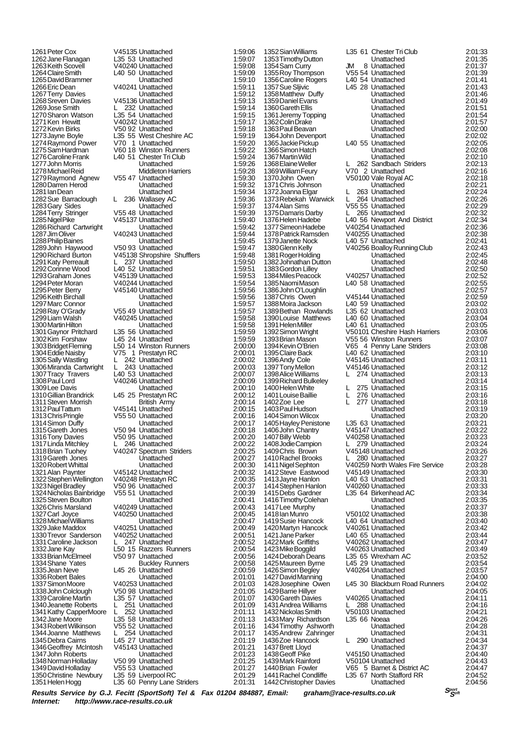1325 Steven Boulton Unattached<br>1326 Chris Marsland V40249 Unattached 1350 Christine Newbury L35 59 Liverpool RC 2:01:29<br>1351 Helen Hogg L35 60 Penny Lane Striders 2:01:31

1261 Peter Cox **V45135 Unattached** 1:59:06<br>1262 Jane Flanagan L35 53 Unattached 1:59:07 1262 Jane Flanagan L35 53 Unattached 1:59:07 1263 Keith Scovell **V40240 Unattached** 1:59:08 1264Claire Smith L40 50 Unattached 1:59:09 1265 David Brammer Unattached 1:59:10<br>1266 Eric Dean (140241 Unattached 1:59:11 1266Eric Dean V40241 Unattached 1:59:11 1267Terry Davies 112211 Unattached 1:59:12<br>
1268Sreven Davies V45136 Unattached 1:59:13 1268Sreven Davies V45136 Unattached 1:59:13 1269Jose Smith 1:59:14<br>1270 Sharon Watson 1.35 54 Unattached 1:59:15 1270Sharon Watson L35 54 Unattached 1:59:15 1271Ken Hewitt V40242 Unattached 1:59:17 1272Kevin Birks V50 92 Unattached 1:59:18 1.59.19<br>1274 - L35 55 West Cheshire AC 1.59.19<br>159:20 - 1.59:20 1274 Raymond Power vthe V70 1 Unattached 1:59:20<br>1275 Sam Hardman v60 18 Winston Runners 1:59:22 1275 Sam Hardman V60 18 Winston Runners 1:59:22<br>1275 Sam Hardman V60 18 Winston Runners 1:59:22<br>1276 Caroline Frank L40 51 Chester Tri Club 1276Caroline Frank L40 51 Chester Tri Club 1:59:24<br>Unattached 1:59:26 1277John Morris Unattached 1:59:26 1278 Michael Reid Middleton Harriers 1:59:28<br>1279 Raymond Agnew V55 47 Unattached 1:59:30 1279 Raymond Agnew V55 47 Unattached 1:59:30<br>1280 Darren Herod Unattached 1:59:32 1280Darren Herod Unattached 1:59:32 1281Ian Dean Unattached 1:59:34 1282Sue Barraclough L 236 Wallasey AC 1:59:36 1283Gary Sides **Carl Library Construction Construction**<br>
1284Terry Stringer **1:59:37**<br>
1284Terry Stringer **1:59:39** 1284 Terry Stringer (1955 48 Unattached 1:59:39 1:59:39 1:59:39 1:59:39 1:59:39 1:59:40 1:59:40 V45137 Unattached 1:59:40<br>1:59:42 Unattached 1:59:42 1286Richard Cartwright Unattached 1:59:42 1287 V40243 Unattached 1:59:44<br>1259:45 Unattached 1:59:45 1288 Philip Baines **Christian Baines Unattached** 1:59:45<br>11289 John Haywood V50 93 Unattached 1:59:47 1289 John Haywood V50 93 Unattached 1:59:47<br>1290 Richard Burton V45138 Shropshire Shufflers 1:59:48 V45138 Shropshire Shufflers 1:59:48<br>L 237 Unattached 1:59:50 1291 Katy Perreault L 237 Unattached 1:59:50<br>1292 Corinne Wood L40 52 Unattached 1:59:51<br>1293 Graham Jones V45139 Unattached 1:59:53 1292 Corinne Wood L40 52 Unattached 1:59:51 1293 Graham Jones V45139 Unattached 1:59:53 1294 Peter Moran 1994 Unattached 1:59:54<br>
1295 Peter Berry V45140 Unattached 1:59:56 1295Peter Berry V45140 Unattached 1:59:56 1296 Keith Birchall **Christian Little Unattached 1:59:56**<br>1297 Marc Connor **Mattached 1:59:57**<br>1:59:57 Unattached 1:59:57 1297 Marc Connor Connor Unattached 1:59:57<br>1298 Ray O'Grady Connor US5 49 Unattached 1:59:57 1298 Ray O'Grady V55 49 Unattached 1:59:57<br>1299 Liam Walsh V40245 Unattached 1:59:58 1:59:58<br>1299-2011 Unattached 1:59:58<br>159:58 1:59:58 1300 Martin Hilton **1:59:58**<br>
1301 Gavnor Pritchard L35 56 Unattached 1:59:59 1301Gaynor Pritchard L35 56 Unattached 1:59:59 1302 Kim Forshaw L45 24 Unattached 1:59:59<br>1302 Kim Forshaw L45 24 Unattached 1:59:59<br>1303 Bridget Fleming L50 14 Winston Runners 2:00:00 1303 14 Winston Runners 2:00:00<br>1303 1 Prestatyn RC 2:00:01 1304Eddie Naisby V75 1 Prestatyn RC 2:00:01 1305Sally Wastling L 242 Unattached 2:00:02 1306Miranda Cartwright L 243 Unattached 2:00:03 1307Tracy Travers L40 53 Unattached 2:00:07 1308Paul Lord V40246 Unattached 2:00:09 1309 Lee Davis 1992 - Unattached 2:00:10<br>1310 Gillian Brandrick 145 25 Prestatyn RC 2:00:12 1310Gillian Brandrick L45 25 Prestatyn RC 2:00:12 1311Steven Morrish British Army 2:00:14 1312 Paul Tattum V45141 Unattached 2:00:15<br>1312 Paul Tattum V45141 Unattached 2:00:15<br>1313 Chris Pringle V55 50 Unattached 2:00:16 131305 V55 50 Unattached 2:00:16<br>131300:17 Unattached 2:00:17 1314 Simon Duffy 1986 Unattached 2:00:17<br>1315 Gareth Jones 1950 94 Unattached 2:00:18 1315Gareth Jones V50 94 Unattached 2:00:18 1316Tony Davies V50 95 Unattached 2:00:20 1317 Linda Mitchley L 246 Unattached 2:00:22<br>1318 Brian Tuohey V40247 Spectrum Striders 2:00:25 1318Brian Tuohey V40247 Spectrum Striders 2:00:25 1319Gareth Jones Unattached 2:00:27 1320Robert Whittal Unattached 2:00:30 1321Alan Paynter V45142 Unattached 2:00:32 1322Stephen Wellington V40248 Prestatyn RC 2:00:35 1323Nigel Bradley V50 96 Unattached 2:00:37 1324Nicholas Bainbridge V55 51 Unattached 2:00:39 1326Chris Marsland V40249 Unattached 2:00:43 1327Carl Joyce V40250 Unattached 2:00:45 1328Michael Williams Unattached 2:00:47 1329Jake Maddox V40251 Unattached 2:00:49 1330Trevor Sanderson V40252 Unattached 2:00:51 1331 Caroline Jackson L. 247 Unattached 2:00:52<br>1332 Jane Kay L. L. L. L. L. L. L. L. 2:00:54<br>1333 Brian McElmeel V50 97 Unattached 2:00:56 1332Jane Kay L50 15 Razzers Runners 2:00:54 1333Brian McElmeel V50 97 Unattached 2:00:56 1334 Shane Yates **Buckley Runners** 2:00:58<br>1335 Jean Neve **145 26** Unattached 2:00:59 1335 Jean Neve Lets 26 Unattached 2:00:59<br>1336 Robert Bales Lets Unattached 2:01:01 1336Robert Bales Unattached 2:01:01 1337 Simon Moore V40253 Unattached 2:01:03<br>1338 John Colclough V50 98 Unattached 2:01:05<br>1339 Caroline Martin L35 57 Unattached 2:01:07 1338John Colclough V50 98 Unattached 2:01:05 1339Caroline Martin L35 57 Unattached 2:01:07 1340 Jeanette Roberts L. 251 Unattached 2:01:09<br>1341 Kathy CapperMoore L. 252 Unattached 2:01:11 1341Kathy CapperMoore L 252 Unattached 2:01:11 1342Jane Moore L35 58 Unattached 2:01:13 1343Robert Wilkinson V55 52 Unattached 2:01:16 1344Joanne Matthews L 254 Unattached 2:01:17 1345 Debra Cairns Latin Cairns Lease Cairns 2:01:17<br>145 27 Unattached 2:01:19<br>145143 Unattached 2:01:21 1346Geoffrey McIntosh V45143 Unattached 2:01:21 1347John Roberts 1988 Unattached 2:01:23<br>1348Norman Holladav V50 99 Unattached 2:01:25 1348Norman Holladay V50 99 Unattached 2:01:25 1349 David Holladay V55 53 Unattached 2:01:27<br>1350 Christine Newbury L35 59 Liverpool RC 2:01:29 L35 60 Penny Lane Striders

1416 Timothy Colehan 1442 Christopher Davies

1352Sian Williams L35 61 Chester Tri Club 2:01:33 1353Timothy Dutton **The Contract of Contract Contract 2:01:35**<br>1354 Sam Curry JM 8 Unattached 2:01:37 1354Sam Curry JM 8 Unattached 2:01:37 1355 Roy Thompson  $1355$  54 Unattached 2:01:39<br>1356 Caroline Rogers 1.40 54 Unattached 2:01:41<br>1357 Sue Sliivic 1.45 28 Unattached 2:01:43 1356Caroline Rogers L40 54 Unattached 2:01:41 1357Sue Sljivic L45 28 Unattached 2:01:43 1358Matthew Duffy Unattached 2:01:46 1359Daniel Evans Unattached 2:01:49 1360 Gareth Ellis **Christian Construction Construction Construction**<br>1361 Jeremy Topping **Christian Unattached** 2:01:54 1361Jeremy Topping Unattached 2:01:54 1362Colin Drake Unattached 2:01:57 1363Paul Beavan Unattached 2:02:00 1364John Devenport Unattached 2:02:02 1365 Unattached 2:02:05<br>1365 Unattached 2:02:08 1366 Simon Hatch **Carlos Contract Library Contract Library** 2:02:08<br>1367 Martin Wild **Martiached** 2:02:10 1367 Martin Wild Unattached 2:02:10<br>1368 Elaine Weller L 262 Sandbach Striders 2:02:13 1362 Sandbach Striders 2:02:13<br>1368 V70 2 Unattached 2:02:16 1369 William Feury 1970 2 Unattached 2:02:16<br>1370 John Owen 1370 V50100 Vale Royal AC 2:02:18 V50100 Vale Royal AC 2:02:18<br>Unattached 2:02:21 1371Chris Johnson Unattached 2:02:21 1372Joanna Elgar L 263 Unattached 2:02:24 1373Rebekah Warwick L 264 Unattached 2:02:26 13745 55 Unattached 2:02:29<br>13745 1265 Unattached 2:02:32 1375Damaris Darby L 265 Unattached 2:02:32 1376 Law Law Haden Haden Haden Haden Haden 2:02:34<br>1376 V40254 Unattached 2:02:36 1377Simeon Hadebe V40254 Unattached 2:02:36 1378 Patrick Ramsden view von Die Landschaft († 1378 Patrick Ramsden view 2:02:38<br>1379 Janette Nock L40 57 Unattached 2:02:41 1379Janette Nock L40 57 Unattached 2:02:41 1380Glenn Kelly V40256 Boalloy Running Club 2:02:43 1381 Roger Holding New York Charles Unattached 2:02:45<br>1382 Johnathan Dutton Unattached 2:02:48 1382Johnathan Dutton Unattached 2:02:48 1383Gordon Lilley Unattached 2:02:50 1384Miles Peacock V40257 Unattached 2:02:52 1385Naomi Mason L40 58 Unattached 2:02:55 1386John O'Loughlin Unattached 2:02:57<br>1387Chris Owen V45144 Unattached 2:02:59 1387Chris Owen V45144 Unattached 2:02:59 1388 Unattached 2:03:02<br>1388 C2 Unattached 2:03:03 1389 Bethan Rowlands L35 62 Unattached 2:03:03<br>1390 Louise Matthews L40 60 Unattached 2:03:04 1389 Bethan Rowlands<br>
1390 Louise Matthews 1206 60 Unattached 2:03:04<br>
1391 Helen Miller 140 61 Unattached 2:03:05<br>
2:03:05 1391 Helen Miller L40 61 Unattached 2:03:05<br>1392 Simon Wright V50101 Cheshire Hash Harriers 2:03:06 1392 Simon Wright V50101 Cheshire Hash Harriers 2:03:06<br>1393 Brian Mason V55 56 Winston Runners 2:03:07 1393Brian Mason V55 56 Winston Runners 2:03:07 1394Kevin O'Brien V65 4 Penny Lane Striders 2:03:08 1395Claire Back L40 62 Unattached 2:03:10 1396Andy Cole V45145 Unattached 2:03:11 1397Tony Mellon V45146 Unattached 2:03:12 1398Alice Williams L 274 Unattached 2:03:13 1399 Richard Bulkeley **The Community Community 12:03:14**<br>1400 Helen White **Lawsen L. 275** Unattached 2:03:15 1400 L 275 Unattached 2:03:15<br>1400 L 276 Unattached 2:03:16 1401Louise Baillie L 276 Unattached 2:03:16 1402Zoe Lee L 277 Unattached 2:03:18 1403 Paul Hudson Level Unattached 2:03:19<br>1404 Simon Wilcox Unattached 2:03:19 1404 Simon Wilcox **1404 Simon Wilcox**<br>1405 Hayley Penistone L35 63 Unattached 2:03:20<br>1405 Hayley Penistone L35 63 Unattached 2:03:21 1405Hayley Penistone L35 63 Unattached 2:03:21 1406John Chantry V45147 Unattached 2:03:22 1407Billy Webb V40258 Unattached 2:03:23 1408Jodie Campion L 279 Unattached 2:03:24 1409Chris Brown V45148 Unattached 2:03:26 1410 Rachel Brooks L 280 Unattached 2:03:27<br>1411 Nigel Sephton V40259 North Wales Fire Service 2:03:28 120259 North Wales Fire Service 2:03:28<br>1203:28 V45149 Unattached 2:03:30 1412Steve Eastwood V45149 Unattached 2:03:30 140 63 Unattached 2:03:31<br>140 63 Unattached 2:03:33<br>2:03:33 1414Stephen Hanlon V40260 Unattached 2:03:33 1415 Care Birkenhead AC 2:03:34<br>12:03:35 Unattached 2:03:35 1417Lee Murphy Unattached 2:03:37 1418Ian Munro V50102 Unattached 2:03:38 140 64 Unattached 2:03:40<br>140261 Unattached 2:03:42 1420Martyn Hancock V40261 Unattached 2:03:42 1421Jane Parker L40 65 Unattached 2:03:44 1422 Mark Griffiths V40262 Unattached 2:03:47<br>1423 Mike Boggild V40263 Unattached 2:03:49<br>1424 Deborah Deans L35 65 Wrexham AC 2:03:52 1423Mike Boggild V40263 Unattached 2:03:49 1424Deborah Deans L35 65 Wrexham AC 2:03:52 1425Maureen Byrne L45 29 Unattached 2:03:54 1426 Simon Begley V40264 Unattached 2:03:57<br>1427 David Manning Unattached 2:04:00 1427 David Manning **1427** Unattached 2:04:00<br>1428 Josephine Owen L45 30 Blackburn Road Runners 2:04:02 145 30 Blackburn Road Runners 2:04:02<br>104:05 Unattached 2:04:05 1429Barrie Hillyer Unattached 2:04:05 1430 Gareth Davies V40265 Unattached 2:04:11<br>1431 Andrea Williams I 288 Unattached 2:04:16 1431Andrea Williams L 288 Unattached 2:04:16 14320103 Unattached 2:04:21<br>1435 66 Noeaa 2:04:26 1433 Mary Richardson L35 66 Noeaa 2:04:26<br>1433 Mary Richardson L35 66 Noeaa 2:04:26<br>1434 Timothy Ashworth Unattached 2:04:28 1434Timothy Ashworth Unattached 2:04:28 1435Andrew Zahringer Unattached 2:04:31 1436Zoe Hancock L 290 Unattached 2:04:34 1437 Brett Lloyd **Contract Unattached** 2:04:37<br>1438 Geoff Pike V45150 Unattached 2:04:40 1438Geoff Pike V45150 Unattached 2:04:40 1439 Mark Rainford V50104 Unattached 2:04:43<br>1440 Brian Fowler V65 5 Barnet & District AC 2:04:43 1440 Brian Fowler 105 5 Barnet & District AC 1440 Brian Fowler 105 5 Barnet & District AC 2:04:47<br>1441 Rachel Condliffe 1.35 67 North Stafford RR 2:04:52 1441 L35 67 North Stafford RR 2:04:52<br>14:56 Unattached 2:04:56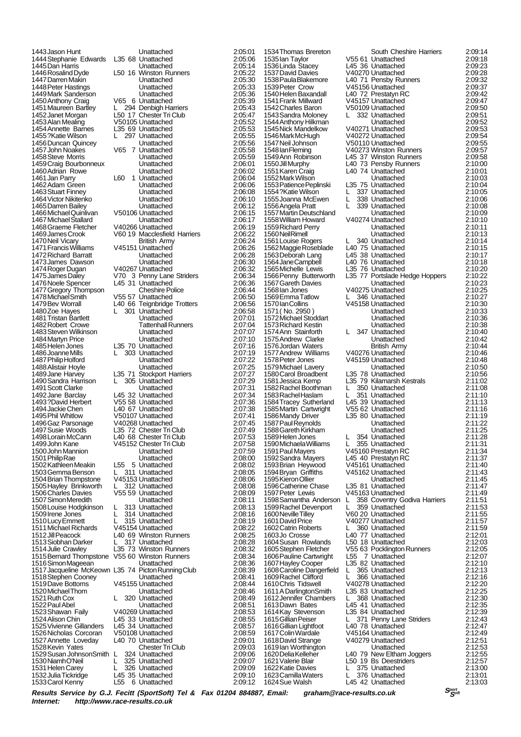1443 Jason Hunt **Unattached** 2:05:01<br>1444 Stephanie Edwards L35 68 Unattached 2:05:06 1444Stephanie Edwards L35 68 Unattached 2:05:06 1445Dan Harris Unattached 2:05:14 1447Darren Makin Unattached 2:05:30 1448Peter Hastings Unattached 2:05:33 1449Mark Sanderson Unattached 2:05:36 1450Anthony Craig V65 6 Unattached 2:05:39 1451Maureen Bartley L 294 Denbigh Harriers 2:05:43 1452 Janet Morgan L50 17 Chester Tri Club 2:05:47<br>1453 Alan Mealing V50105 Unattached 2:05:52 1453Alan Mealing V50105 Unattached 2:05:52 1454Annette Barnes L35 69 Unattached 2:05:53 1456 Duncan Quincey **Canadia Library Contract Library 2:05:56**<br>1457 John Noakes V65 7 Unattached 2:05:58 1458Steve Morris Unattached 2:05:59 1459Craig Bourbonneux Unattached 2:06:01 1460Adrian Rowe Unattached 2:06:02 1461 Jan Parry L60 1 Unattached 2:06:04<br>1462 Adam Green L60 1 Unattached 2:06:06 1462Adam Green Unattached 2:06:06 1463Stuart Finney Unattached 2:06:08 1464Victor Nikitenko Unattached 2:06:10 1465Darren Bailey Unattached 2:06:12 1466Michael Quinlivan V50106 Unattached 2:06:15 1467Michael Stallard Unattached 2:06:17 1468 Graeme Fletcher V40266 Unattached 2:06:19<br>1468 Graeme Fletcher V40266 Unattached 2:06:22<br>1469 James Crook V60 19 Macclesfield Harriers 2:06:22 1470Neil Vicary British Army 2:06:24 1471Francis Williams V45151 Unattached 2:06:26 1472Richard Barratt Unattached 2:06:28 1473James Dawson Unattached 2:06:30<br>1474 Roger Dugan V40267 Unattached 2:06:32<br>1475 James Daley V70 3 Penny Lane Striders 2:06:34 1474Roger Dugan V40267 Unattached 2:06:32 1475James Daley V70 3 Penny Lane Striders 2:06:34 1476Noele Spencer L45 31 Unattached 2:06:36 1477Gregory Thompson Cheshire Police 2:06:44 1478Michael Smith V55 57 Unattached 2:06:50 1479Bev Worrall L40 66 Teignbridge Trotters 2:06:56 1480Zoe Hayes L 301 Unattached 2:06:58 1481Tristan Bartlett Unattached 2:07:01 1482 Robert Crowe **Tattenhall Runners** 2:07:04<br>1483 Steven Wilkinson **1483 Unattached** 2:07:07 1483 Steven Wilkinson Unattached 2:07:07<br>1483 Steven Wilkinson Unattached 2:07:07<br>1484 Martyn Price Unattached 2:07:10 1484Martyn Price Unattached 2:07:10 1486Joanne Mills L 303 Unattached 2:07:19 1487Philip Holford Unattached 2:07:22 1488Alistair Hoyle Unattached 2:07:25 1490 Sandra Harrison L 305 Unattached 2:07:29<br>1491 Scott Clarke Lating Unattached 2:07:31 1491Scott Clarke Unattached 2:07:31 1492Jane Barclay L45 32 Unattached 2:07:34 1493?David Herbert V55 58 Unattached 2:07:36 1494Jackie Chen L40 67 Unattached 2:07:38 1496Gaz Parsonage V40268 Unattached 2:07:45 1497Susie Woods L35 72 Chester Tri Club 2:07:49 1498Lorain McCann L40 68 Chester Tri Club 2:07:53 1499John Kane V45152 Chester Tri Club 2:07:58 1500John Mannion Unattached 2:07:59 1501Philip Rae Unattached 2:08:00 1502Kathleen Meakin L55 5 Unattached 2:08:02 1503 Gemma Benson Land Land Unattached 2:08:05<br>1503 Gemma Benson Land Unattached 2:08:06<br>1504 Brian Thompstone V45153 Unattached 2:08:06 1504Brian Thompstone V45153 Unattached 2:08:06 1505Hayley Brinkworth L 312 Unattached 2:08:08 1506Charles Davies V55 59 Unattached 2:08:09 1507 Simon Meredith **Deatlached Unattached 2:08 Louise Hodgkins on L** 213 Unattached 1508Louise Hodgkinson L 313 Unattached 2:08:13 1509 Irene Jones L 314 Unattached 2:08:16<br>1510 Lucy Emmett L 315 Unattached 2:08:19 1510Lucy Emmett L 315 Unattached 2:08:19<br>1511 Michael Richards V45154 Unattached 2:08:22 1511Michael Richards V45154 Unattached 2:08:22 1513 Siobhan Darker L 317 Unattached 2:08:28<br>1514 Julie Crawley L35 73 Winston Runners 2:08:32 1514Julie Crawley L35 73 Winston Runners 2:08:32 1516 Simon Mageean Unattached 1516 Simon Mageean<br>1516 Simon Mageean Unattached 2:08:36<br>1517 Jacqueline McKeown L35 74 Picton Running Club 2:08:39 1517Jacqueline McKeown L35 74 Picton Running Club 2:08:39 1518Stephen Cooney Unattached 2:08:41 1520 Michael Thom Unattached 2:08:46<br>1521 Ruth Cox 1 - 2:08:49 Unattached 2:08:49 1522Paul Abel Unattached 2:08:51 1523Shawan Faily V40269 Unattached 2:08:53 1525Vivienne Gillanders L45 34 Unattached 2:08:57 1526Nicholas Corcoran V50108 Unattached 2:08:59 1527 Annette Loveday L40 70 Unattached 2:09:01<br>1528 Kevin Yates Chester Tri Club 2:09:03 1528Kevin Yates Chester Tri Club 2:09:03 1529Susan JohnsonSmith L 324 Unattached 2:09:06 1530 Niamh O'Neil Luis Least Unattached 2:09:07<br>1530 Niamh O'Neil L 325 Unattached 2:09:07<br>1531 Helen Carey L 326 Unattached 2:09:09 1531Helen Carey L 326 Unattached 2:09:09 1532Julia Tickridge L45 35 Unattached 2:09:10

1446 L50 16 Winston Runners 2:05:22<br>Unattached 2:05:30 1456.55.297 Unattached 2:05:55<br>1456:56:56 Unattached 2:05:56 1457John Noakes V65 7 Unattached 2:05:58 V60 19 Macclesfield Harriers 2:06:22<br>British Army 2:06:24 1485 70 Unattached 2:07:16<br>1 2:07:19 L 303 Unattached 2:07:19 1499 71 Stockport Harriers 2:07:27<br>1489 305 Unattached 2:07:29 149107 Unattached 2:07:41<br>149268 Unattached 2:07:45 1512 L40 69 Winston Runners 2:08:25<br>1528:28 L 317 Unattached 1515Bernard Thompstone V55 60 Winston Runners 2:08:34 1519Dave Bottoms V45155 Unattached 2:08:44 1520 Unattached 2:08:49<br>1. Linattached 2:08:51 145 33 Unattached 2:08:55<br>145 34 Unattached 2:08:57 L55 6 Unattached

1534 Thomas Brereton<br>1535 Jan Taylor (V55) 1540 Helen Baxandall L40<br>1540 Helen Baxandall L40<br>1541 Frank Millward V451 1541 Frank Millward V451<br>1542 Charles Baron V501 1542 Charles Baron V501<br>1543 Sandra Moloney L 3 1543 Sandra Moloney 1544Anthony Hilkman Unattached 2:09:52 1546 Mark McHugh V402<br>1547 Neil Johnson V501 1547 Neil Johnson V501<br>1548 Ian Fleming V402 1548 Ian Fleming V402<br>1549 Ann Robinson L45 1549 Ann Robinson Late<br>1550 Jill Murphy Late 1552 Mark Wilson<br>1553 Patience Peplinski L35 1553 Patience Peplinski L35<br>1554 ?Katie Wilson L 3 1554?Katie Wilson L 3<br>1555 Joanna McEwen L 3 1555 Joanna McEwen L 3:<br>1556 Angela Pratt L 3: 1556 Angela Pratt 1557 Martin Deutschland<br>1558 William Howard V402 1558 William Howard 1559 Richard Perry 1560 Neil Rimell<br>1560 Neil Rimell<br>1561 Louise Rogers L 3 1561 Louise Rogers Luis<br>1562 Maggie Roseblade L40 1562 Maggie Roseblade L40<br>1563 Deborah Lang L45: 1564 Jane Campbell L40<br>1565 Michelle Lewis L35 1565 Michelle Lewis L35<br>1566 Penny Butterworth 135 1568 lan Jones V402<br>1569 Emma Tatlow L 3: 1573 Richard Kestin<br>1574 Ann Stainforth L 3: 1574 Ann Stainforth 1575 Andrew Clarke 1576 Jordan Waters<br>1577 Andrew Williams V402 1579 Michael Lavery<br>1580 Carol Broadbent 135 1580 Carol Broadbent L35<br>1581 Jessica Kemp L35 1581 Jessica Kemp L35<br>1581 Jessica Kemp L35<br>1582 Rachel Boothman L 3 1582 Rachel Boothman L 3<br>1582 Rachel Boothman L 3: 1583 Rachel Haslam L 3<br>1584 Tracev Sutherland L45 1586 Mandy Driver L35 1587 Paul Reynolds 1588 Gareth Kirkham<br>1589 Helen Jones L. 3:<br>1590 Michaela Williams L. 3: 1589 Helen Jones<br>1590 Michaela Williams L 1590 Michaela Williams L 3:<br>1591 Paul Mayers V451 1591 Paul Mayers V451<br>1592 Sandra Mayers L45 1594 Bryan Griffiths V451 1595 Kieron Ollier<br>1596 Catherine Chase L35 ; **1596 Catherine Chase** L35 8<br>1597 Peter Lewis V451 1597 Peter Lewis V451<br>1598 Samantha Anderson L 3: 1598 Samantha Anderson 1599 Rachel Devenport L 35<br>1600 Neville Tilley V60 2 1600 Neville Tilley<br>1601 David Price V402 1601 David Price 1602 Catrin Roberts L 3<br>1603 Jo Crosse L 40 1603Jo Crosse L40<br>1604 Susan Rowlands L50 1604 Susan Rowlands L50<br>1605 Stephen Fletcher V55 1605 Stephen Fletcher 1605 Stephen Letter<br>1606 Pauline Cartwright L55<br>1607 Havley Cooper L35 1607 Hayley Cooper L35 8<br>1608 Caroline Dangerfield L 3<br>1609 Rachel Clifford L 3 1608 Caroline Dangerfield 1609 Rachel Clifford L 3<br>1610 Chris Tidswell V402 1610Chris Tidswell V402<br>1611 A Darlington Smith L35 1613 Dawn Bates 145 1616 Cillian Lightfoot<br>1616 Gillian Lightfoot L40<br>1617 Colin Wardale V451 1619 Ian Worthington<br>1620 Delia Kelleher L40 1620 Delia Kelleher L40<br>1621 Valerie Blair L50 1621Valerie Blair L50 19 Bs Deestriders 2:12:57 1622 Katie Davies 1623 Camilla Waters L 3<br>1624 Sue Walsh L 145 1624 Sue Walsh

| 1534 Thomas Brereton                     |        | South Cheshire Harriers             | 2:09:14            |
|------------------------------------------|--------|-------------------------------------|--------------------|
| 1535 lan Taylor                          |        | V55 61 Unattached                   | 2:09:18            |
| 1536 Linda Stacey                        |        | L45 36 Unattached                   | 2:09:23            |
| 1537 David Davies                        |        | V40270 Unattached                   | 2:09:28            |
| 1538 Paula Blakemore                     |        | L40 71 Pensby Runners               | 2:09:32            |
| 1539 Peter Crow                          |        | V45156 Unattached                   | 2:09:37            |
| 1540 Helen Baxandall                     |        | L40 72 Prestatyn RC                 | 2:09:42            |
| 1541 Frank Millward                      |        | V45157 Unattached                   | 2:09:47            |
| 1542 Charles Baron                       |        | V50109 Unattached                   | 2:09:50            |
| 1543 Sandra Moloney                      | L      | 332 Unattached                      | 2:09:51            |
| 1544 Anthony Hilkman                     |        | Unattached                          | 2:09.52            |
| 1545 Nick Mandelkow                      |        | V40271 Unattached                   | 2:09:53            |
| 1546 Mark McHugh                         |        | V40272 Unattached                   | 2:09.54            |
| 1547 Neil Johnson                        |        | V50110 Unattached                   | 2:09.55            |
| 1548 Ian Fleming                         |        | V40273 Winston Runners              | 2:09.57            |
| 1549 Ann Robinson                        |        | L45 37 Winston Runners              | 2:09:58            |
| 1550 Jill Murphy                         |        | L40 73 Pensby Runners               | 2:10:00            |
| 1551 Karen Craig                         |        | L40 74 Unattached                   | 2:10:01            |
| 1552 Mark Wilson                         |        | Unattached                          | 2:10:03            |
| 1553 Patience Peplinski                  |        | L35 75 Unattached                   | 2:10:04            |
| 1554?Katie Wilson                        | L      | 337 Unattached                      | 2:10:05            |
| 1555 Joanna McEwen                       | L      | 338 Unattached                      | 2:10:06            |
| 1556 Angela Pratt                        | L      | 339 Unattached                      | 2:10:08            |
| 1557 Martin Deutschland                  |        | Unattached                          | 2:10:09            |
| 1558 William Howard                      |        | V40274 Unattached                   | 2:10:10            |
| 1559 Richard Perry                       |        | Unattached                          | 2:10:11            |
| 1560 Neil Rimell                         |        | Unattached                          | 2:10:13            |
| 1561 Louise Rogers                       | L      | 340 Unattached                      | 2:10:14            |
| 1562 Maggie Roseblade                    |        | L40 75 Unattached                   | 2:10:15            |
|                                          |        |                                     |                    |
| 1563 Deborah Lang                        |        | L45 38 Unattached                   | 2:10:17            |
| 1564 Jane Campbell                       |        | L40 76 Unattached                   | 2:10:18            |
| 1565 Michelle Lewis                      |        | L35 76 Unattached                   | 2:10:20            |
| 1566 Penny Butterworth                   |        | L35 77 Portslade Hedge Hoppers      | 2:10:22            |
| 1567 Gareth Davies                       |        | Unattached                          | 2:10:23            |
| 1568 lan Jones                           |        | V40275 Unattached                   | 2:10:25            |
| 1569 Emma Tatlow                         | L.     | 346 Unattached                      | 2:10:27            |
| 1570 Ian Collins                         |        | V45158 Unattached                   | 2:10:30            |
| 1571 (No. 2950)                          |        | Unattached                          | 2:10:33            |
| 1572 Michael Stoddart                    |        | Unattached                          | 2:10:36            |
| 1573 Richard Kestin                      |        | Unattached                          | 2:10:38            |
| 1574 Ann Stainforth                      | L      | 347 Unattached                      | 2:10:40            |
| 1575 Andrew Clarke                       |        | Unattached                          | 2:10:42            |
| 1576 Jordan Waters                       |        | <b>British Army</b>                 | 2:10:44            |
| 1577 Andrew Williams                     |        | V40276 Unattached                   | 2:10:46            |
| 1578 Peter Jones                         |        | V45159 Unattached                   | 2:10:48            |
| 1579 Michael Lavery                      |        | Unattached                          | 2:10:50            |
| 1580 Carol Broadbent                     |        | L35 78 Unattached                   | 2:10:56            |
| 1581 Jessica Kemp                        |        | L35 79 Kilamarsh Kestrals           | 2:11:02            |
| 1582 Rachel Boothman                     | L.     | 350 Unattached                      | 2:11:08            |
| 1583 Rachel Haslam                       | L.     | 351 Unattached                      | 2:11:10            |
| 1584 Tracey Sutherland                   |        | L45 39 Unattached                   | 2:11:13            |
| 1585 Martin Cartwright                   |        | V55 62 Unattached                   | 2:11:16            |
| 1586 Mandy Driver                        |        | L35 80 Unattached                   | 2:11:19            |
| 1587 Paul Reynolds                       |        | Unattached                          | 2:11:22            |
| 1588 Gareth Kirkham                      |        | Unattached                          | 2:11:25            |
| 1589 Helen Jones                         | L.     | 354 Unattached                      | 2:11:28            |
| 1590 Michaela Williams                   | L.     | 355 Unattached                      | 2:11:31            |
| 1591 Paul Mayers                         |        | V45160 Prestatyn RC                 | 2:11:34            |
| 1592 Sandra Mayers                       |        | L45 40 Prestatyn RC                 | 2:11:37            |
| 1593 Brian Heywood                       |        | V45161 Unattached                   | 2:11:40            |
| 1594 Bryan Griffiths                     |        | V45162 Unattached                   | 2.11.43            |
| 1595 Kieron Ollier                       |        | Unattached                          | 2:11:45            |
| 1596 Catherine Chase                     |        | L35 81 Unattached                   | 2:11:47            |
| 1597 Peter Lewis                         |        | V45163 Unattached                   | 2:11:49            |
| 1598 Samantha Anderson                   | L      | 358 Coventry Godiva Harriers        | 2:11:51            |
| 1599 Rachel Devenport                    | L      | 359 Unattached                      | 2:11:53            |
| 1600 Neville Tilley                      |        | V60 20 Unattached                   | 2:11:55            |
| 1601 David Price                         |        | V40277 Unattached                   | 2.11.57            |
| 1602 Catrin Roberts                      | L      | 360 Unattached                      | 2:11:59            |
| 1603Jo Crosse                            |        | L40 77 Unattached                   | 2:12:01            |
| 1604 Susan Rowlands                      |        | L50 18 Unattached                   | 2:12:03            |
| 1605 Stephen Fletcher                    |        | V55 63 Pocklington Runners          | 2:12:05            |
| 1606 Pauline Cartwright                  |        | L55 7 Unattached                    | 2:12:07            |
|                                          |        | L35 82 Unattached                   | 2:12:10            |
| 1607 Hayley Cooper                       |        |                                     |                    |
| 1608 Caroline Dangerfield                | L<br>L | 365 Unattached                      | 2:12:13<br>2:12:16 |
| 1609 Rachel Clifford                     |        | 366 Unattached<br>V40278 Unattached |                    |
| 1610 Chris Tidswell                      |        |                                     | 2:12:20            |
| 1611 A Darlington Smith                  |        | L35 83 Unattached                   | 2:12:25            |
| 1612 Jennifer Chambers<br>1613Dawn Bates | L      | 368 Unattached<br>L45 41 Unattached | 2:12:30<br>2:12:35 |
|                                          |        |                                     |                    |
| 1614 Kay Stevenson                       |        | L35 84 Unattached                   | 2:12:39            |
| 1615 Gillian Peiser                      | L      | 371 Penny Lane Striders             | 2:12:43            |
| 1616 Gillian Lightfoot                   |        | L40 78 Unattached                   | 2:12:47            |
| 1617 Colin Wardale                       |        | V45164 Unattached                   | 2:12:49            |
| 1618 David Strange                       |        | V40279 Unattached                   | 2:12:51            |
| 1619 lan Worthington                     |        | Unattached                          | 2:12:53            |
| 1620 Delia Kelleher                      |        | L40 79 New Eltham Joggers           | 2:12:55            |
| 1621 Valerie Blair                       |        | L50 19 Bs Deestriders               | 2:12:57            |
| 1622 Katie Davies                        | L.     | 375 Unattached                      | 2:13:00            |
| 1623 Camilla Waters                      | L.     | 376 Unattached                      | 2:13:01            |
| 1624 Sue Walsh                           |        | L45 42 Unattached                   | 2:13:03            |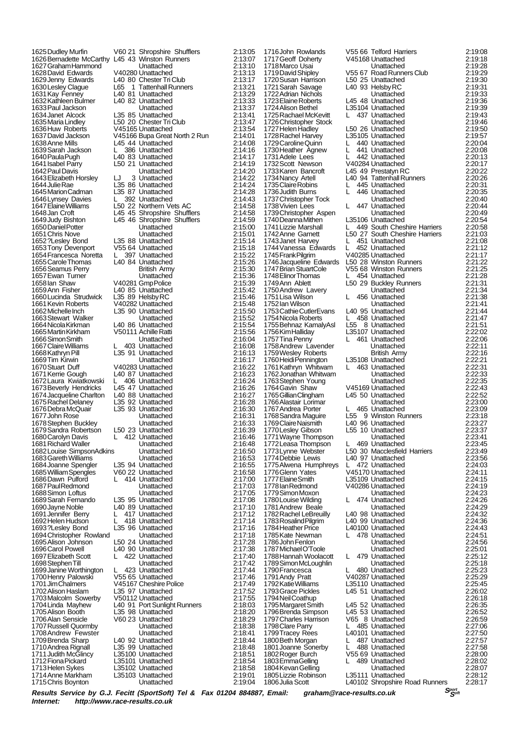1625Dudley Murfin V60 21 Shropshire Shufflers 2:13:05 1626Bernadette McCarthy L45 43 Winston Runners 2:13:07<br>1627 Graham Hammond Unattached 2:13:10 1627 Graham Hammond Unattached 2:13:10<br>1628 David Edwards V40280 Unattached 2:13:13 1628David Edwards V40280 Unattached 2:13:13<br>1629Jenny Edwards L40 80 Chester Tri Club 2:13:17<br>1630Lesley Claque L65 1 Tattenhall Runners 2:13:21 1629Jenny Edwards L40 80 Chester Tri Club 2:13:17 1630Lesley Clague L65 1 Tattenhall Runners 2:13:21 1631 Kay Fenney L40 81 Unattached 2:13:29<br>1632 Kathleen Bulmer L40 82 Unattached 2:13:33 1632 Kathleen Bulmer L40 82 Unattached 2:13:33<br>1632 Paul Jackson L40 82 Unattached 2:13:33 1633Paul Jackson Unattached 2:13:37 1634Janet Alcock L35 85 Unattached 2:13:41 1636 Huw Roberts V45165 Unattached 2:13:54<br>1637 David Jackson V45166 Buna Great North 2 Run 2:14:01 1637David Jackson V45166 Bupa Great North 2 Run 2:14:01 1639Sarah Jackson L 386 Unattached 2:14:16 1640 Paula Pugh L40 83 Unattached 2:14:17<br>1641 Isabel Parry L50 21 Unattached 2:14:17 1642Paul Davis Unattached 2:14:20 1643Elizabeth Horsley LJ 3 Unattached 2:14:22 1645Marion Cadman L35 87 Unattached 2:14:28 1646Lynsey Davies L 392 Unattached 2:14:43<br>1647 Elaine Williams L50 22 Northern Vets AC 2:14:58 1647Elaine Williams L50 22 Northern Vets AC 2:14:58 1648Jan Croft L45 45 Shropshire Shufflers 2:14:58 1650 Daniel Potter Library Library Unattached 2:15:00<br>1651 Chris Nove Unattached 2:15:00 1651Chris Nove Unattached 2:15:01 1653Tony Devenport V55 64 Unattached 2:15:18 1654Francesca Noretta L 397 Unattached 2:15:22 1656Seamus Perry British Army 2:15:30 1657Ewan Turner Unattached 2:15:36 1658 Lan Shaw V40281 Gmp Police 2:15:39<br>1659 Ann Fisher L40 85 Unattached 2:15:42 1660Lucinda Strudwick L35 89 Helsby RC 2:15:46 1661Kevin Roberts V40282 Unattached 2:15:48 1663Stewart Walker Unattached 2:15:52 1664Nicola Kirkman L40 86 Unattached 2:15:54 1666 Simon Smith Communistic Library (Unattached 2:16:04<br>1666 Simon Smith Land Unattached 2:16:04<br>1667 Claire Williams L 403 Unattached 2:16:08 1667Claire Williams L 403 Unattached 2:16:08 1668 Kathryn Pill **1668 Kathryn Pill 1669 Kathryn Pill** 1669 Tim Kirwin Unattached 2:16:13<br>1669 Tim Kirwin Unattached 2:16:17<br>1670 Stuart Duff 1670 V40283 Unattached 2:16:22 1670Stuart Duff V40283 Unattached 2:16:22 1672 Laura Kwiatkowski L 406 Unattached 2:16:24<br>1673 Beverly Hendricks L45 47 Unattached 2:16:26 1673Beverly Hendricks L45 47 Unattached 2:16:26<br>1674 Jacqueline Charlton L40 88 Unattached 2:16:27 1674Jacqueline Charlton L40 88 Unattached 2:16:27 1675Rachel Delaney L35 92 Unattached 2:16:28 1676Debra McQuair L35 93 Unattached 2:16:30 1677John Rose Unattached 2:16:31 1678 Stephen Buckley Unattached 2:16:33<br>1679 Sandra Robertson L50 23 Unattached 2:16:33 1679 Sandra Robertson L50 23 Unattached 2:16:39<br>1680 Carolyn Davis L 412 Unattached 2:16:39 1680 Carolyn Davis Lubattached 2:16:46<br>1681 Richard Waller Lubattached 2:16:48 1681Richard Waller Unattached 2:16:48 1682Louise SimpsonAdkins Unattached 2:16:50 1683Gareth Williams Unattached 2:16:53 1684Joanne Spengler L35 94 Unattached 2:16:55 1685William Spengles V60 22 Unattached 2:16:58 1686 Dawn Pulford L 414 Unattached 2:17:00<br>1687 Paul Redmond L 414 Unattached 2:17:03 1687Paul Redmond Unattached 2:17:03 1688Simon Loftus Unattached 2:17:05 1689 Sarah Fernando L35 95 Unattached 2:17:08<br>1690 Jayne Noble L40 89 Unattached 2:17:10<br>1691 Jennifer Berry L 417 Unattached 2:17:12 1690Jayne Noble L40 89 Unattached 2:17:10 1691Jennifer Berry L 417 Unattached 2:17:12 1692Helen Hudson L 418 Unattached 2:17:14 1694Christopher Rowland Unattached 2:17:18 1695Alison Johnson L50 24 Unattached 2:17:28 1696Carol Powell L40 90 Unattached 2:17:38 1697Elizabeth Scott L 422 Unattached 2:17:40 1698 Stephen Till Unattached 2:17:42<br>1699 Janine Worthington L 423 Unattached 2:17:44 1699Janine Worthington L 423 Unattached 2:17:44 1700Henry Palowski V55 65 Unattached 2:17:46 1701Jim Chalmers V45167 Cheshire Police 2:17:49 1702Alison Haslam L35 97 Unattached 2:17:52 1703Malcolm Sowerby V50112 Unattached 2:17:55 1704 Linda Mayhew L40 91 Port Sunlight Runners 2:18:03<br>1705 Alison Booth L35 98 Unattached 2:18:20 1705Alison Booth L35 98 Unattached 2:18:20 1707 Russell Quormby Unattached 2:18:38<br>1708 Andrew Fewster Unattached 2:18:41<br>1709 Brenda Sharp L40 92 Unattached 2:18:44 1708Andrew Fewster Unattached 2:18:41 1709Brenda Sharp L40 92 Unattached 2:18:44 1710Andrea Rignall L35 99 Unattached 2:18:48 1711 Judith McGlincy L35100 Unattached 2:18:51<br>1712 Fiona Pickard L35101 Unattached 2:18:54 1712Fiona Pickard L35101 Unattached 2:18:54 1713Helen Sykes L35102 Unattached 2:18:58 1715 Chris Boynton

150 20 Chester Tri Club 2:13:47<br>1/45165 Unattached 2:13:54 1638 L45 44 Unattached 2:14:08<br>1. 1638 Unattached 2:14:16 164119 1641 L50 21 Unattached 2:14:19<br>14:20 Lihattached 2:14:20 14:24 L35 86 Unattached 2:14:24<br>14:28 L35 87 Unattached 2:14:28 145 46 Shropshire Shufflers 2:14:59<br>16:14:59 Linattached 2:15:00 1952 168 Unattached 2:15:14<br>1652 164 Unattached 2:15:18 165526<br>1655 L40 84 Unattached 2:15:26<br>16:30 British Army 1659Ann Fisher L40 85 Unattached 2:15:42 1662 L35 90 Unattached 2:15:50<br>16:52 Unattached 2:15:52 1665Martin Kirkham V50111 Achille Ratti 2:15:56 16:13 L35 91 Unattached 2:16:13<br>16:17 Unattached 2:16:17 1971 L40 87 Unattached 2:16:23<br>16:24 L 406 Unattached 2:16:24 1693?Lesley Bond L35 96 Unattached 2:17:16 1706 23 Unattached 2:18:29<br>Unattached 2:18:29<br>2:18:38 1714-1715 L35103 Unattached 2:19:01<br>1719:04 Unattached 2:19:04

1753 Cathie Cutler Evans L40 95 Unattached<br>1754 Nicola Roberts LL 458 Unattached 1780 Louise Wilding

1716John Rowlands V55 66 Telford Harriers 2:19:08<br>1717 Geoff Doherty V45168 Unattached 2:19:18 1717-V45168 Unattached 2:19:18<br>Unattached 2:19:28 1718 Marco Usai (1992)<br>1719 David Shipley (1956) Unattached 1719 David Shipley (1956) V55 67 Road Runners Club 1719 V55 67 Road Runners Club 2:19:29<br>1719 L50 25 Unattached 2:19:30 1720Susan Harrison L50 25 Unattached 2:19:30 1721Sarah Savage L40 93 Helsby RC 2:19:31 1722 Adrian Nichols 2.1988 (Unattached 2:19:33<br>1723 Elaine Roberts 2:19:33<br>1723 Elaine Roberts 2:19:36 1723Elaine Roberts L45 48 Unattached 2:19:36 1725104 Unattached 2:19:39<br>1724 L 437 Unattached 2:19:43 1725Rachael McKevitt L 437 Unattached 2:19:43 1726Christopher Stock Unattached 2:19:46 1727 Helen Hadley L50 26 Unattached 2:19:50<br>1728 Rachel Harvey L35105 Unattached 2:19:57 1728 L35105 Unattached 2:19:57<br>1728 L 440 Unattached 2:20:04 1729 Caroline Quinn L 440 Unattached 2:20:04<br>1730 Heather Agnew L 441 Unattached 2:20:08 1730 Heather Agnew L 441 Unattached 2:20:08<br>1731 Adele Lees L 442 Unattached 2:20:13 1731 Adele Lees L. 2002 - L. 442 Unattached 2:20:13<br>1732 Scott Newson V40284 Unattached 2:20:17 1732 Scott Newson V40284 Unattached 2:20:17<br>1733 Karen Bancroft 145 49 Prestatyn RC 2:20:22 1733Karen Bancroft L45 49 Prestatyn RC 2:20:22 1734 L40 94 Tattenhall Runners 2:20:26<br>1. 1745 Unattached 2:20:31 1735 Claire Robins L 445 Unattached 2:20:31<br>1736 Judith Burns L 446 Unattached 2:20:35 1736 Judith Burns L 446 Unattached 2:20:35<br>1737 Christopher Tock Unattached 2:20:40 1737 Christopher Tock **Carl Liberal Construction 1737 Christopher Tock Carl Unattached** 2:20:40<br>1738 Vivien Lees L 447 Unattached 2:20:44 1738Vivien Lees L 447 Unattached 2:20:44 1739 Christopher Aspen Unattached 2:20:49<br>1740 Deanna Mithen L35106 Unattached 2:20:54 1740 Deanna Mithen L35106 Unattached 2:20:54<br>1741 Lizzie Marshall L 449 South Cheshire Harriers 2:20:58<br>1742 Anne Garnett L50 27 South Cheshire Harriers 2:21:03 1741Lizzie Marshall L 449 South Cheshire Harriers 2:20:58 1742Anne Garnett L50 27 South Cheshire Harriers 2:21:03 1743Janet Harvey L 451 Unattached 2:21:08<br>1743Janet Harvey L 451 Unattached 2:21:08<br>1744Vanessa Edwards L 452 Unattached 2:21:12 1744Vanessa Edwards L 452 Unattached 2:21:12 1745 Frank Pilgrim V40285 Unattached 2:21:17<br>1746 Jacqueline Edwards L50 28 Winston Runners 2:21:22 1746Jacqueline Edwards L50 28 Winston Runners 2:21:22<br>1747 Brian StuartCole V55 68 Winston Runners 2:21:25<br>1748 Flinor Thomas 1 454 Unattached 2:21:28 1747Brian StuartCole V55 68 Winston Runners 2:21:25 1748Elinor Thomas L 454 Unattached 2:21:28 1749Ann Ablett L50 29 Buckley Runners 2:21:31<br>1750Andrew Lavery L50 29 Buckley Runners 2:21:31<br>2:21:34 Unattached 2:21:34 1750Andrew Lavery Unattached 2:21:34 1751Lisa Wilson L 456 Unattached 2:21:38 1752 Ian Wilson Christian Unattached 2:21:41<br>1753 Cathie Cutler Evans L40 95 Unattached 2:21:44<br>1754 Nicola Roberts L 458 Unattached 2:21:47 1754Nicola Roberts L 458 Unattached 2:21:47 1755Behnaz KamalyAsl L55 8 Unattached 2:21:51 175107 Unattached 2:22:02<br>1766 L 461 Unattached 2:22:06 1757 Tina Penny L 461 Unattached 2:22:06<br>1758 Andrew Lavender L 461 Unattached 2:22:06 1758 Andrew Lavender Christian Unattached 2:22:11<br>1759 Wesley Roberts British Army 2:22:16 1759Wesley Roberts British Army 2:22:16 1760Heidi Pennington L35108 Unattached 2:22:21 1761 Kathryn Whitwam L 463 Unattached 2:22:31<br>1762 Jonathan Whitwam L 463 Unattached 2:22:33 1762Jonathan Whitwam Unattached 2:22:33 1763Stephen Young Unattached 2:22:35 1764Gavin Shaw V45169 Unattached 2:22:43 1765Gillian Clingham L45 50 Unattached 2:22:52 1766Alastair Lorimar Unattached 2:23:00 1767 Andrea Porter L. 465 Unattached 2:23:09<br>1768 Sandra Maguire L. L. 55 9 Winston Runners 2:23:18 1768Sandra Maguire L55 9 Winston Runners 2:23:18 1769 Claire Naismith 140 96 Unattached 1769 Claire Naismith 140 96 Unattached 12:23:27<br>1770 Lesley Gibson 155 10 Unattached 2:23:37 1770 Les 10 Unattached 2:23:37<br>Unattached 2:23:37<br>2:23:41 1771 Wayne Thompson **Call Contract Contract Contract Contract Contract Contract Contract Contract Contract Contra**<br>1772 Leasa Thompson L 469 Unattached 2:23:45 1772Leasa Thompson L 469 Unattached 2:23:45<br>1773Lynne Webster L50 30 Macclesfield Harriers 2:23:49 1773Lynne Webster L50 30 Macclesfield Harriers 2:23:49 17740 1774 Unattached 2:23:56<br>1774 Lewis Lewis Lewis 2:24:03 1775 Alwena Humphreys L. 472 Unattached 2:24:03<br>1775 Alwena Humphreys L. 472 Unattached 2:24:03<br>1776 Glenn Yates V45170 Unattached 2:24:11 1776 Glenn Yates **V45170 Unattached 1776 Glenn Yates V45170 Unattached** 2:24:11<br>1777 Elaine Smith L35109 Unattached 2:24:15 1777Elaine Smith L35109 Unattached 2:24:15 1778Ian Redmond V40286 Unattached 2:24:19 1779 Simon Moxon Unattached 2:24:23<br>1780 Louise Wilding L 474 Unattached 2:24:26 1781Andrew Beale Unattached 2:24:29 1782Rachel LeBreuilly L40 98 Unattached 2:24:32 1783 Rosalind Pilgrim L40 99 Unattached 2:24:36<br>1784 Heather Price L40100 Unattached 2:24:43 1784Heather Price L40100 Unattached 2:24:43 1785Kate Newman L 478 Unattached 2:24:51 1786John Fenlon Unattached 2:24:56 1787Michael O'Toole Unattached 2:25:01 1788 Hannah Woolacott L 479 Unattached 2:25:12<br>1789 Simon McLoughlin Unattached 2:25:18 1789 Simon McLoughlin Letter Unattached 2:25:18<br>1790 Francesca L 480 Unattached 2:25:23<br>1790 Francesca L 480 Unattached 2:25:23 1790 Francesca L 480 Unattached 2:25:23<br>1791 Andy Pratt V40287 Unattached 2:25:29 1791Andy Pratt V40287 Unattached 2:25:29 1792Katie Williams L35110 Unattached 2:25:45 1793 L45 51 Unattached 2:26:02<br>1796:18 Unattached 2:26:18 1794Neil Coathup Unattached 2:26:18 1795Margaret Smith L45 52 Unattached 2:26:35 1796Brenda Simpson L45 53 Unattached 2:26:52 1797Charles Harrison V65 8 Unattached 2:26:59 1798 Clare Parry L 485 Unattached 2:27:06<br>1799 Tracey Rees L40101 Unattached 2:27:50 1799Tracey Rees L40101 Unattached 2:27:50 1790 Gale Parry Learner Land Original Contractor (d. 2017-1790 France Parry 2:27:57<br>1800 Beth Morgan L. 2010 L. L. L. L. L. L. 2:27:57<br>1801 Joanne Sonerby L. L. 488 Unattached 2:27:58 1801 Joanne Sonerby L. 488 Unattached 2:27:58<br>1802 Roger Burch V55 69 Unattached 2:28:00 1802Roger Burch V55 69 Unattached 2:28:00 1803Emma Gelling L 489 Unattached 2:28:02 1804Kevan Gelling Unattached 2:28:07 1805Lizzie Robinson L35111 Unattached 2:28:12 L40102 Shropshire Road Runners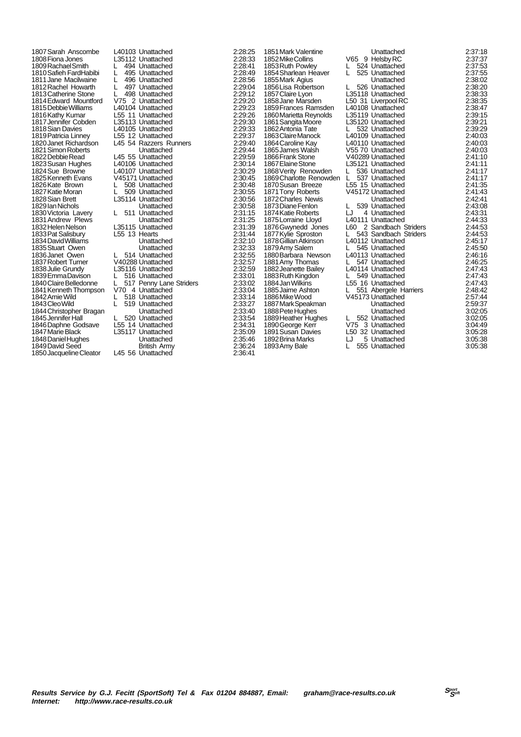1807Sarah Anscombe L40103 Unattached 2:28:25 1809 Rachael Smith Luis 1944 Unattached 2:28:41<br>1810 Safieh FardHabibi Luis 195 Unattached 2:28:49 1810Safieh FardHabibi L 495 Unattached 2:28:49 1811 Jane Macilwaine L 496 Unattached 2:28:56<br>1812 Rachel Howarth L 497 Unattached 2:29:04 1813 Catherine Stone L 498 Unattached 2:29:12<br>1814 Edward Mountford V75 2 Unattached 2:29:20 1814 Edward Mountford V75 2 Unattached 2:29:20<br>1815 Debbie Williams L40104 Unattached 2:29:23 1815Debbie Williams L40104 Unattached 2:29:23 1816Kathy Kumar L55 11 Unattached 2:29:26 1817Jennifer Cobden L35113 Unattached 2:29:30 1819 Patricia Linney 155 12 Unattached 1819 Patricia Linney 155 12 Unattached 2:29:37<br>1820 Janet Richardson 145 54 Razzers Runners 2:29:40 1821 Simon Roberts Unattached 2:29:44<br>
1822 Debbie Read 1822 Debbie Read 145 55 Unattached 2:29:59 1822 Debbie Read L45 55 Unattached 2:29:59<br>1823 Susan Hughes L40106 Unattached 2:30:14 1823Susan Hughes L40106 Unattached 2:30:14 1824Sue Browne L40107 Unattached 2:30:29 1825Kenneth Evans V45171 Unattached 2:30:45 1826 Kate Brown L 508 Unattached 2:30:48<br>1827 Katie Moran L 509 Unattached 2:30:55 1827Katie Moran L 509 Unattached 2:30:55 1829 Ian Nichols **1829**<br>1830 Victoria Lavery Ltd. 511 Unattached 2:31:15 1830Victoria Lavery L 511 Unattached 2:31:15 1831Andrew Plews Unattached 2:31:25 1833Pat Salisbury L55 13 Hearts 2:31:44 1834David Williams Unattached 2:32:10 1835Stuart Owen Unattached 2:32:33 1836Janet Owen L 514 Unattached 2:32:55 1838Julie Grundy L35116 Unattached 2:32:59 1839 Emma Davison L 516 Unattached 2:33:01<br>1840 Claire Belledonne L 517 Penny Lane Striders 2:33:02 1841Kenneth Thompson V70 4 Unattached 2:33:04 1842 Amie Wild L 518 Unattached 2:33:14<br>1843 Cleo Wild L 519 Unattached 2:33:27 1844 Christopher Bragan Unattached 2:33:40<br>1845 Iennifer Hall 1520 Unattached 2:33:54 1846Daphne Godsave L55 14 Unattached 2:34:31<br>1847 Marie Black L35117 Unattached 2:35:09 1848 Daniel Hughes 2001 - Unattached 2:35:46<br>1849 David Seed British Army 2:36:24 1849David Seed **British Army** 2:36:24<br>1850Jacqueline Cleator L45 56 Unattached 2:36:41 1850 Jacqueline Cleator

1808Fiona Jones L35112 Unattached 2:28:33 1812 196 Unattached 2:28:56<br>
1812 12:29:04<br>
18 Unattached 2:29:04<br>
2:29:12 1818Sian Davies L40105 Unattached 2:29:33 1820 L45 54 Razzers Runners 2:29:40<br>Unattached 2:29:44 1828Sian Brett L35114 Unattached 2:30:56 L35115 Unattached 2:31:39<br>L55 13 Hearts 2:31:44 1837Robert Turner V40288 Unattached 2:32:57 1840 Chaine Belledonne L 517 Penny Lane Striders 2:33:02<br>1840 V70 4 Unattached 2:33:04 1843 S19 Unattached 2:33:27<br>Unattached 2:33:40 1845 L. 520 Unattached 2:33:54<br>1845 L. 520 Unattached 2:34:31 185117 Unattached 2:35:09<br>Unattached 2:35:46

1851 Mark Valentine **1851 Mark Valentine**<br>1852 Mike Collins V65 9 Helsby RC 2:37:37<br>1853 Ruth Powley L 524 Unattached 2:37:53 1852 Mike Collins V<br>1853 Ruth Powley L 1854Sharlean Heaver L 525 Unattached 2:37:55 1855Mark Agius Unattached 2:38:02 1856Lisa Robertson L 526 Unattached 2:38:20 1857 Claire Lyon Latin Latin Latin Latin Latin Latin Latin 2:38:33<br>1858 Jane Marsden L50 31 Liverpool RC 2:38:35 1859Frances Ramsden L40108 Unattached 2:38:47 1860Marietta Reynolds L35119 Unattached 2:39:15 1861Sangita Moore L35120 Unattached 2:39:21 1862 Antonia Tate L 532 Unattached 2:39:29<br>1863 Claire Manock L40109 Unattached 2:40:03 1864 Caroline Kay L40110 Unattached 2:40:03<br>1864 Caroline Kay L40110 Unattached 2:40:03<br>1865 James Walsh V55 70 Unattached 2:40:03 1865James Walsh V55 70 Unattached 2:40:03 1866Frank Stone V40289 Unattached 2:41:10 1867Elaine Stone L35121 Unattached 2:41:11 1868Verity Renowden L 536 Unattached 2:41:17 1869Charlotte Renowden L 537 Unattached 2:41:17 1870 Susan Breeze L55 15 Unattached 2:41:35<br>1871 Tony Roberts V45172 Unattached 2:41:43 1872 Charles Newis Unit Unattached 2:42:41<br>1873 Diane Fenlon L 539 Unattached 2:43:08 1873Diane Fenlon L 539 Unattached 2:43:08<br>1874 Katie Roberts LJ 4 Unattached 2:43:31 1874Katie Roberts LJ 4 Unattached 2:43:31 1875Lorraine Lloyd L40111 Unattached 2:44:33<br>1876Gwynedd Jones L60 2 Sandbach Striders 2:44:53<br>1877Kylie Sproston L 543 Sandbach Striders 2:44:53 1876Gwynedd Jones L60 2 Sandbach Striders 2:44:53 1877Kylie Sproston L 543 Sandbach Striders 2:44:53 1878 Gillian Atkinson Lao Luis Unattached 2:45:17<br>1878 Gillian Atkinson Lao Louis Lao Luis Lao Luis 2:45:50<br>1879 Amy Salem L. 545 Unattached 2:45:50 1879Amy Salem L 545 Unattached 2:45:50 1880Barbara Newson L40113 Unattached 2:46:16 1881 Amy Thomas L 547 Unattached 2:46:25<br>1882 Jeanette Bailey L40114 Unattached 2:47:43<br>1883 Ruth Kingdon L 549 Unattached 2:47:43 1883 Boulivia Diamond L. E. 2011 - Unattached 2:47:43<br>1883 Ruth Kingdon L. E. L. 549 Unattached 2:47:43<br>1884 Jan Wilkins L55 16 Unattached 2:47:43 1884Jan Wilkins L55 16 Unattached 2:47:43 1885 Jaime Ashton Lease 1867 Abergele Harriers 2:48:42<br>1886 Mike Wood V45173 Unattached 2:57:44 1887Mark Speakman Unattached 2:59:37 1888Pete Hughes Unattached 3:02:05 1889Heather Hughes L 552 Unattached 3:02:05 1890 George Kerr 1990 V75 3 Unattached 1890 George Kerr 1990 V75 3 Unattached 1890 Stock 3:04:49 1892 Brina Marks **LJ** 5 Unattached 3:05:38<br>1893 Amy Bale L 555 Unattached 3:05:38

18524 Unattached 2:37:53<br>18525 Unattached 2:37:55 1859 11 Liverpool RC 2:38:35<br>1958 12:38:35 L40108 Unattached 2:38:47 1863 Laonard Manual Laonard 2:40:03<br>1861 Laonard 2:40:03<br>1863 2:40:03 1871Tony Roberts V45172 Unattached 2:41:43 L40114 Unattached<br>L 549 Unattached 1886Mike Wood V45173 Unattached 2:57:44 1891 Susan David Contracted<br>
1891 Subset Contracted<br>
1891 Subset Contracted<br>
1892 Subset Contracted<br>
1895:38 555 Unattached